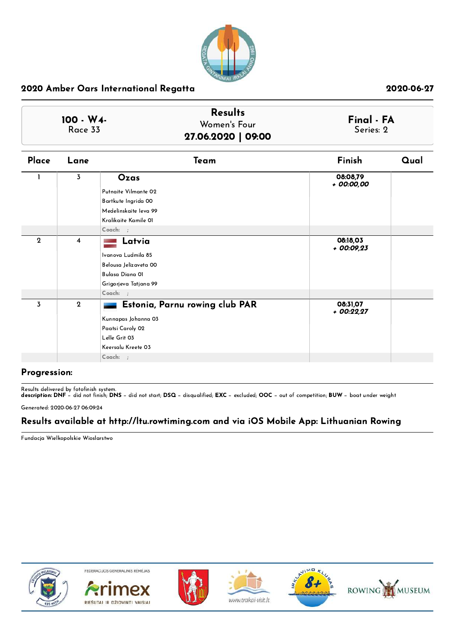

|                       | <b>Results</b>     |                         |
|-----------------------|--------------------|-------------------------|
| $100 - W4$<br>Race 33 | Women's Four       | Final - FA<br>Series: 2 |
|                       | 27.06.2020   09:00 |                         |

| Place            | Lane           | Team                           | Finish                  | Qual |
|------------------|----------------|--------------------------------|-------------------------|------|
|                  | 3              | Ozas                           | 08:08,79<br>+ 00:00,00  |      |
|                  |                | Putnaite Vilmante 02           |                         |      |
|                  |                | Bartkute Ingrida 00            |                         |      |
|                  |                | Medelinskaite leva 99          |                         |      |
|                  |                | Kralikaite Kamile 01           |                         |      |
|                  |                | Coach: ;                       |                         |      |
| $\boldsymbol{2}$ | $\overline{4}$ | Latvia                         | 08:18,03<br>$+00:09,23$ |      |
|                  |                | Ivanova Ludmila 85             |                         |      |
|                  |                | Belousa Jelizaveta 00          |                         |      |
|                  |                | Bulasa Diana 01                |                         |      |
|                  |                | Grigorjeva Tatjana 99          |                         |      |
|                  |                | Coach: ;                       |                         |      |
| $\overline{3}$   | $\mathbf{2}$   | Estonia, Parnu rowing club PAR | 08:31,07<br>$+00:22.27$ |      |
|                  |                | Kunnapas Johanna 03            |                         |      |
|                  |                | Paatsi Caroly 02               |                         |      |
|                  |                | Lelle Grit 03                  |                         |      |
|                  |                | Keersalu Kreete 03             |                         |      |
|                  |                | $Coach:$ ;                     |                         |      |

### Progression:

Results delivered by fotofinish system.

description: DNF − did not finish; DNS − did not start; DSQ − disqualified; EXC − excluded; OOC − out of competition; BUW − boat under weight

Generated: 2020-06-27 06:09:24

## Results available at http://ltu.rowtiming.com and via iOS Mobile App: Lithuanian Rowing

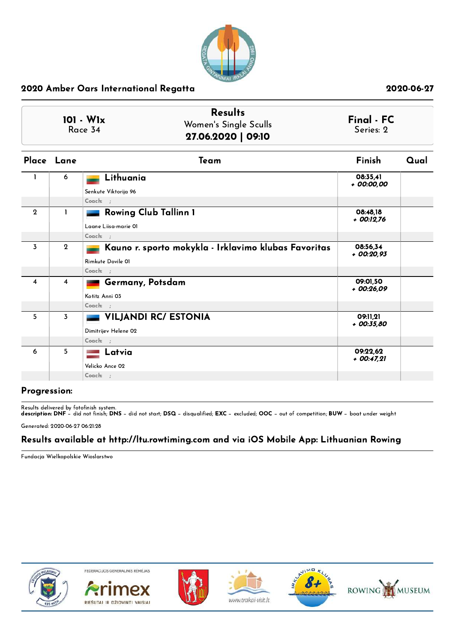

| $101 - W1x$ | <b>Results</b>        | Final - FC |
|-------------|-----------------------|------------|
| Race 34     | Women's Single Sculls | Series: 2  |
|             | 27.06.2020   09:10    |            |

|              | Place Lane  | Team                                                 | <b>Finish</b>           | Qual |
|--------------|-------------|------------------------------------------------------|-------------------------|------|
|              | 6           | Lithuania                                            | 08:35,41<br>+ 00:00,00  |      |
|              |             | Senkute Viktorija 96                                 |                         |      |
|              |             | Coach: ;                                             |                         |      |
| $\mathbf{2}$ | 1           | <b>Rowing Club Tallinn 1</b>                         | 08:48,18<br>+ 00:12,76  |      |
|              |             | Laane Liisa-marie 01                                 |                         |      |
|              |             | Coach: ;                                             |                         |      |
| 3            | $\mathbf 2$ | Kauno r. sporto mokykla - Irklavimo klubas Favoritas | 08:56,34<br>$+00:20.93$ |      |
|              |             | Rimkute Dovile 01                                    |                         |      |
|              |             | Coach: ;                                             |                         |      |
| 4            | 4           | Germany, Potsdam                                     | 09:01,50<br>$+00:26,09$ |      |
|              |             | Kotitz Anni 03                                       |                         |      |
|              |             | Coach: ;                                             |                         |      |
| 5            | 3           | <b>VILJANDI RC/ ESTONIA</b>                          | 09:11,21<br>+ 00:35,80  |      |
|              |             | Dimitrijev Helene 02                                 |                         |      |
|              |             | $Coach:$ ;                                           |                         |      |
| 6            | 5           | Latvia                                               | 09:22,62<br>$+00:47.21$ |      |
|              |             | Velicko Ance 02                                      |                         |      |
|              |             | $Coach:$ ;                                           |                         |      |

## Progression:

Results delivered by fotofinish system. description: DNF − did not finish; DNS − did not start; DSQ − disqualified; EXC − excluded; OOC − out of competition; BUW − boat under weight

Generated: 2020-06-27 06:21:28

## Results available at http://ltu.rowtiming.com and via iOS Mobile App: Lithuanian Rowing

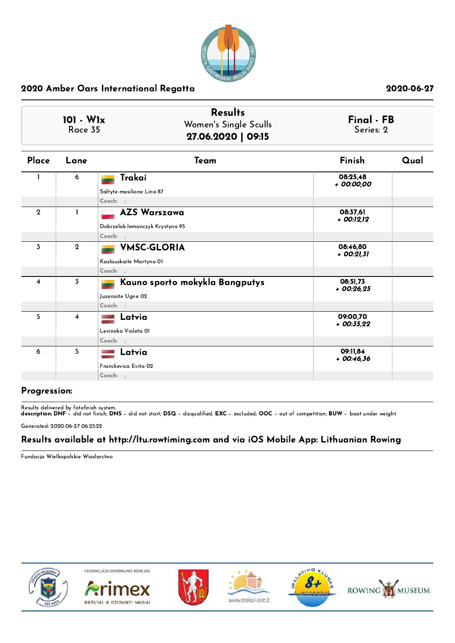

| $101 - W1x$<br>Race 35 | <b>Results</b><br>Women's Single Sculls<br>27.06.2020   09:15 | Final - FB<br>Series: 2 |
|------------------------|---------------------------------------------------------------|-------------------------|
|------------------------|---------------------------------------------------------------|-------------------------|

| Place        | Lane             | Team                            | Finish                  | Qual |
|--------------|------------------|---------------------------------|-------------------------|------|
|              | 6                | Trakai                          | 08:25,48<br>+ 00:00,00  |      |
|              |                  | Saltyte-masilione Lina 87       |                         |      |
|              |                  | Coach: ;                        |                         |      |
| $\mathbf{2}$ | 1                | <b>AZS Warszawa</b>             | 08:37,61<br>+ 00:12,12  |      |
|              |                  | Dobrzelak-lemanczyk Krystyna 95 |                         |      |
|              |                  | Coach: ;                        |                         |      |
| 3            | $\boldsymbol{2}$ | <b>VMSC-GLORIA</b>              | 08:46,80<br>+ 00:21,31  |      |
|              |                  | Kazlauskaite Martyna OI         |                         |      |
|              |                  | Coach: ;                        |                         |      |
| 4            | 3                | Kauno sporto mokykla Bangputys  | 08:51,73<br>$+00:26.25$ |      |
|              |                  | Juzenaite Ugne 02               |                         |      |
|              |                  | Coach: ;                        |                         |      |
| 5            | 4                | Latvia                          | 09:00,70<br>$+00:35,22$ |      |
|              |                  | Levinoka Violeta 01             |                         |      |
|              |                  | Coach: ;                        |                         |      |
| 6            | 5                | Latvia                          | 09:11,84<br>$+00:46,36$ |      |
|              |                  | Franckevica Evita 02            |                         |      |
|              |                  | Coach: ;                        |                         |      |

## Progression:

Results delivered by fotofinish system. description: DNF − did not finish; DNS − did not start; DSQ − disqualified; EXC − excluded; OOC − out of competition; BUW − boat under weight

Generated: 2020-06-27 06:25:22

## Results available at http://ltu.rowtiming.com and via iOS Mobile App: Lithuanian Rowing

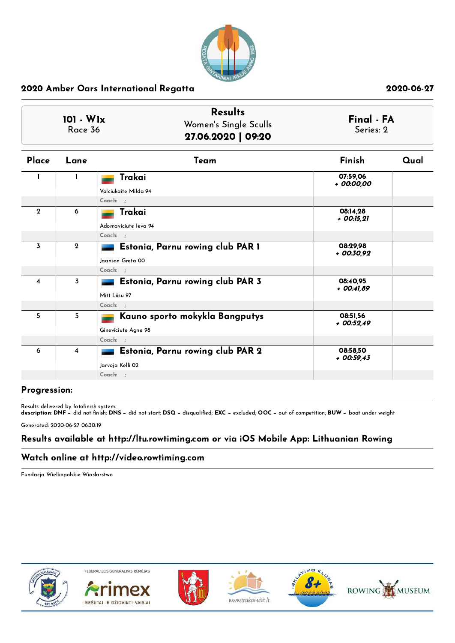

| 101 - W1x<br>Race 36    |                | <b>Results</b><br>Women's Single Sculls<br>27.06.2020   09:20             |                         | Final - FA<br>Series: 2 |
|-------------------------|----------------|---------------------------------------------------------------------------|-------------------------|-------------------------|
| Place                   | Lane           | Team                                                                      | Finish                  | Qual                    |
|                         | 1              | Trakai<br>Valciukaite Milda 94<br>Coach: ;                                | 07:59,06<br>+ 00:00,00  |                         |
| $\mathbf{2}$            | 6              | Trakai<br>Adomaviciute leva 94<br>Coach: ;                                | 08:14.28<br>+ 00:15,21  |                         |
| $\overline{3}$          | $\mathbf{2}$   | Estonia, Parnu rowing club PAR 1<br>Jaanson Greta 00                      | 08:29.98<br>+ 00:30,92  |                         |
| $\overline{\mathbf{4}}$ | $\overline{3}$ | Coach: ;<br>Estonia, Parnu rowing club PAR 3<br>Mitt Liisu 97<br>Coach: ; | 08:40,95<br>$+00:41.89$ |                         |
| 5                       | 5              | Kauno sporto mokykla Bangputys<br>Gineviciute Agne 98<br>Coach: ;         | 08:51.56<br>+ 00:52.49  |                         |
| 6                       | 4              | Estonia, Parnu rowing club PAR 2<br>Jarvoja Kelli 02<br>Coach: ;          | 08:58,50<br>$+00:59:43$ |                         |

## Progression:

Results delivered by fotofinish system. description: DNF − did not finish; DNS − did not start; DSQ − disqualified; EXC − excluded; OOC − out of competition; BUW − boat under weight

Generated: 2020-06-27 06:30:19

## Results available at http://ltu.rowtiming.com or via iOS Mobile App: Lithuanian Rowing

## Watch online at http://video.rowtiming.com

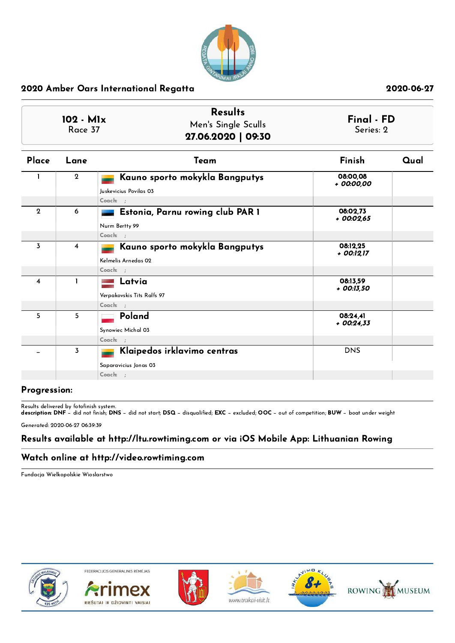

| 102 - M1x<br>Race 37 |              | <b>Results</b><br>Men's Single Sculls<br>27.06.2020   09:30                   |                          | Final - FD |
|----------------------|--------------|-------------------------------------------------------------------------------|--------------------------|------------|
| Place                | Lane         | Team                                                                          | Finish                   | Qual       |
|                      | $\mathbf{2}$ | Kauno sporto mokykla Bangputys<br>Juskevicius Povilas 03<br>Coach: ;          | 08:00.08<br>+ 00:00,00   |            |
| $\mathbf{2}$         | 6            | Estonia, Parnu rowing club PAR 1<br>Nurm Bertty 99                            | 08:02,73<br>+ 00:02,65   |            |
| 3                    | 4            | Coach: ;<br>Kauno sporto mokykla Bangputys<br>Kelmelis Arnedas 02<br>Coach: ; | 08:12,25<br>+ 00:12,17   |            |
| $\overline{4}$       | $\mathbf{I}$ | Latvia<br>Verpakovskis Tits Ralfs 97<br>Coach: :                              | 08:13.59<br>$+$ 00:13,50 |            |
| 5                    | 5            | Poland<br>Synowiec Michal 03<br>Coach: ;                                      | 08:24,41<br>$+00:24.33$  |            |
|                      | 3            | Klaipedos irklavimo centras<br>Saparavicius Jonas 03<br>Coach: ;              | <b>DNS</b>               |            |

## Progression:

Results delivered by fotofinish system. description: DNF − did not finish; DNS − did not start; DSQ − disqualified; EXC − excluded; OOC − out of competition; BUW − boat under weight

Generated: 2020-06-27 06:39:39

## Results available at http://ltu.rowtiming.com or via iOS Mobile App: Lithuanian Rowing

## Watch online at http://video.rowtiming.com

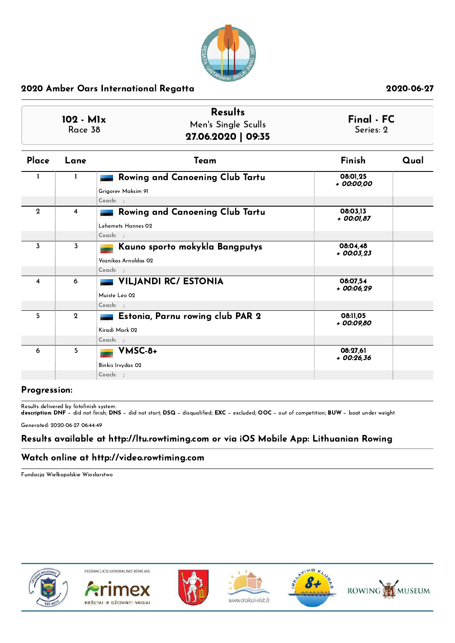

| 102 - M1x<br>Race 38 |                  | <b>Results</b><br>Men's Single Sculls<br>27.06.2020   09:35              |                         | Final - FC<br>Series: 2 |
|----------------------|------------------|--------------------------------------------------------------------------|-------------------------|-------------------------|
| Place                | Lane             | Team                                                                     | Finish                  | Qual                    |
|                      | 1                | Rowing and Canoening Club Tartu<br>Grigorev Maksim 91<br>Coach: ;        | 08:01,25<br>+ 00:00,00  |                         |
| $\mathbf{2}$         | $\overline{4}$   | <b>Rowing and Canoening Club Tartu</b><br>Lehemets Hannes 02<br>Coach: : | 08:03,13<br>+ 00:01,87  |                         |
| 3                    | $\overline{3}$   | Kauno sporto mokykla Bangputys<br>Voznikas Arnoldas 02<br>Coach: :       | 08:04,48<br>$+00:03.23$ |                         |
| 4                    | 6                | <b>VILJANDI RC/ ESTONIA</b><br>Muiste Leo 02<br>Coach: ;                 | 08:07.54<br>$+00:06,29$ |                         |
| 5                    | $\boldsymbol{2}$ | Estonia, Parnu rowing club PAR 2<br>Kiradi Mark 02<br>$Coach:$ :         | 08:11,05<br>+ 00:09,80  |                         |
| 6                    | 5                | VMSC-8+<br>Binkis Irvydas 02<br>Coach: ;                                 | 08:27.61<br>$+00:26,36$ |                         |

## Progression:

Results delivered by fotofinish system. description: DNF − did not finish; DNS − did not start; DSQ − disqualified; EXC − excluded; OOC − out of competition; BUW − boat under weight

Generated: 2020-06-27 06:44:49

## Results available at http://ltu.rowtiming.com or via iOS Mobile App: Lithuanian Rowing

## Watch online at http://video.rowtiming.com

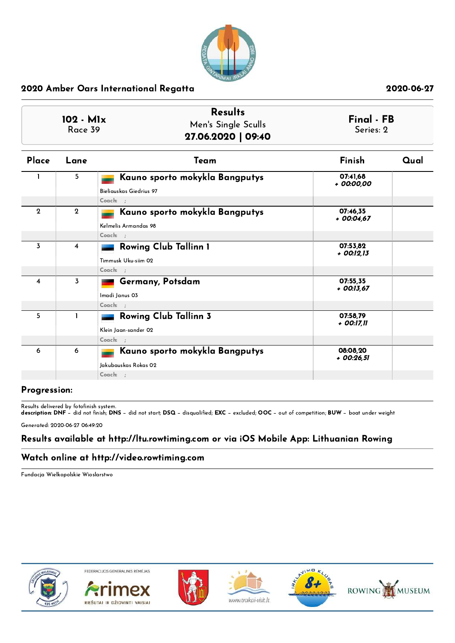

| 102 - M1x<br>Race 39 |                | <b>Results</b><br>Men's Single Sculls<br>27.06.2020   09:40           |                         | Final - FB<br>Series: 2 |
|----------------------|----------------|-----------------------------------------------------------------------|-------------------------|-------------------------|
| Place                | Lane           | Team                                                                  | Finish                  | Qual                    |
|                      | 5              | Kauno sporto mokykla Bangputys<br>Bieliauskas Giedrius 97<br>Coach: : | 07:41.68<br>+ 00:00,00  |                         |
| $\mathbf{2}$         | $\mathbf 2$    | Kauno sporto mokykla Bangputys<br>Kelmelis Armandas 98<br>Coach: ;    | 07:46,35<br>$+00:04.67$ |                         |
| $\overline{3}$       | 4              | Rowing Club Tallinn 1<br>Timmusk Uku-siim 02<br>Coach: ;              | 07:53.82<br>+ 00:12,13  |                         |
| 4                    | $\overline{3}$ | Germany, Potsdam<br>Imadi Janus 03<br>Coach: ;                        | 07:55,35<br>+ 00:13,67  |                         |
| 5                    | $\mathbf{I}$   | <b>Rowing Club Tallinn 3</b><br>Klein Jaan-sander 02<br>Coach: ;      | 07:58.79<br>+ 00:17,11  |                         |
| 6                    | 6              | Kauno sporto mokykla Bangputys<br>Jakubauskas Rokas 02<br>Coach: ;    | 08:08.20<br>$+00:26,51$ |                         |

## Progression:

Results delivered by fotofinish system. description: DNF − did not finish; DNS − did not start; DSQ − disqualified; EXC − excluded; OOC − out of competition; BUW − boat under weight

Generated: 2020-06-27 06:49:20

## Results available at http://ltu.rowtiming.com or via iOS Mobile App: Lithuanian Rowing

## Watch online at http://video.rowtiming.com

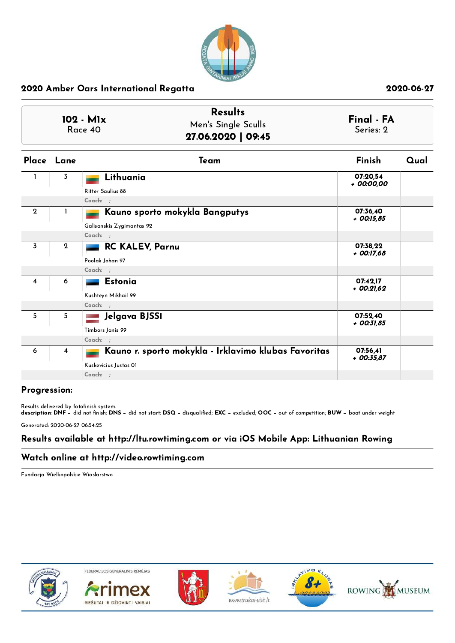

|                         |                | <b>Results</b><br>102 - M1x<br>Men's Single Sculls<br>Race 40<br>27.06.2020   09:45         | Final - FA<br>Series: 2  |      |
|-------------------------|----------------|---------------------------------------------------------------------------------------------|--------------------------|------|
|                         | Place Lane     | Team                                                                                        | Finish                   | Qual |
| $\mathbf{1}$            | $\overline{3}$ | Lithuania<br>Ritter Saulius 88<br>Coach: ;                                                  | 07:20,54<br>+ 00:00,00   |      |
| $\mathbf{2}$            | 1              | Kauno sporto mokykla Bangputys<br>Galisanskis Zygimantas 92<br>Coach: ;                     | 07:36,40<br>+ 00:15,85   |      |
| 3                       | $\mathbf{2}$   | RC KALEV, Parnu<br>Poolak Johan 97<br>Coach: ;                                              | 07:38.22<br>+ 00:17,68   |      |
| $\overline{\mathbf{4}}$ | 6              | Estonia<br>Kushteyn Mikhail 99<br>Coach: ;                                                  | 07:42,17<br>$+00:21,62$  |      |
| 5                       | 5              | Jelgava BJSS1<br>Timbors Janis 99<br>Coach: ;                                               | 07:52,40<br>$+$ 00:31,85 |      |
| 6                       | $\overline{4}$ | Kauno r. sporto mokykla - Irklavimo klubas Favoritas<br>Kuskevicius Justas OI<br>$Coach:$ ; | 07:56.41<br>$+$ 00:35,87 |      |

## Progression:

Results delivered by fotofinish system. description: DNF − did not finish; DNS − did not start; DSQ − disqualified; EXC − excluded; OOC − out of competition; BUW − boat under weight

Generated: 2020-06-27 06:54:25

## Results available at http://ltu.rowtiming.com or via iOS Mobile App: Lithuanian Rowing

## Watch online at http://video.rowtiming.com

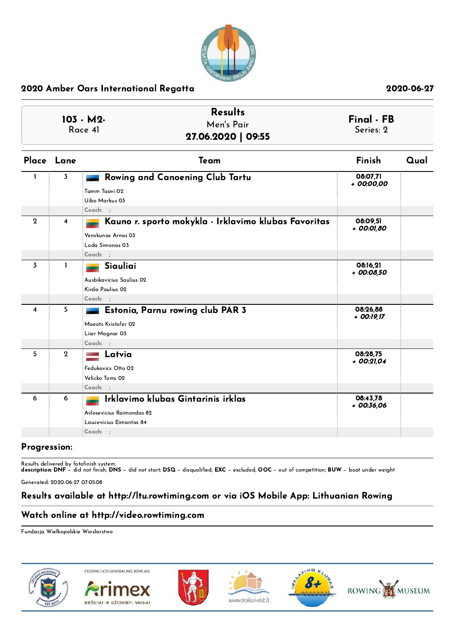

| <b>Results</b><br>103 - M2-<br>Men's Pair<br>Race 41<br>27.06.2020   09:55 |              | Final - FB<br>Series: 2                                                                                     |                        |      |
|----------------------------------------------------------------------------|--------------|-------------------------------------------------------------------------------------------------------------|------------------------|------|
|                                                                            | Place Lane   | Team                                                                                                        | Finish                 | Qual |
| -1.                                                                        | 3            | Rowing and Canoening Club Tartu<br>Tamm Taavi 02<br>Uibo Markus 03<br>$Coach:$ ;                            | 08:07,71<br>+ 00:00,00 |      |
| $\mathbf{2}$                                                               | 4            | Kauno r. sporto mokykla - Irklavimo klubas Favoritas<br>Venskungs Arnas 03<br>Loda Simonas 03<br>$Coach:$ ; | 08:09,51<br>+ 00:01,80 |      |
| 3                                                                          | $\mathbf{I}$ | Siauliai<br>Ausbikavicius Saulius 02<br>Kirda Paulius 02<br>Coach: ;                                        | 08:16,21<br>+ 00:08,50 |      |
| 4                                                                          | 5            | Estonia, Parnu rowing club PAR 3<br>Maeots Kristofer 02<br>Liier Magnar 03<br>$Coach:$ ;                    | 08:26.88<br>+ 00:19,17 |      |
| 5                                                                          | $\mathbf 2$  | Latvia<br>Fedukovics Otto 02<br>Velicko Toms 02<br>$Coach:$ ;                                               | 08:28,75<br>+ 00:21,04 |      |
| 6                                                                          | 6            | Irklavimo klubas Gintarinis irklas<br>Avlosevicius Raimondas 82<br>Laucevicius Eimantas 84<br>Coach: ;      | 08:43.78<br>+ 00:36,06 |      |

## Progression:

Results delivered by fotofinish system.

description: DNF − did not finish; DNS − did not start; DSQ − disqualified; EXC − excluded; OOC − out of competition; BUW − boat under weight

Generated: 2020-06-27 07:05:08

## Results available at http://ltu.rowtiming.com or via iOS Mobile App: Lithuanian Rowing

## Watch online at http://video.rowtiming.com

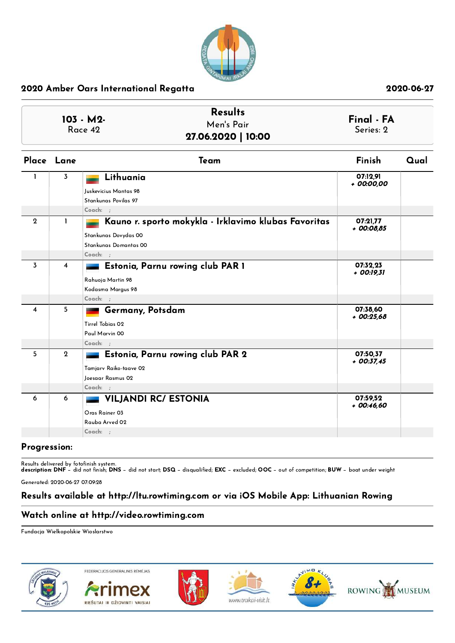

|                |                         | <b>Results</b><br>103 - M2-<br>Men's Pair<br>Race 42<br>27.06.2020   10:00                                        | Final - FA<br>Series: 2  |      |
|----------------|-------------------------|-------------------------------------------------------------------------------------------------------------------|--------------------------|------|
|                | Place Lane              | Team                                                                                                              | Finish                   | Qual |
| $\mathbf{1}$   | 3                       | Lithuania<br>Iuskevicius Mantas 98<br>Stankunas Povilas 97<br>Coach: ;                                            | 07:12,91<br>+ 00:00,00   |      |
| $\mathbf{2}$   | 1                       | Kauno r. sporto mokykla - Irklavimo klubas Favoritas<br>Stankunas Dovydas 00<br>Stankunas Domantas 00<br>Coach: ; | 07:21,77<br>+ 00:08,85   |      |
| $\overline{3}$ | $\overline{\mathbf{4}}$ | Estonia, Parnu rowing club PAR 1<br>Rahuoja Martin 98<br>Kodasma Margus 98<br>Coach: :                            | 07:32,23<br>$+$ 00:19,31 |      |
| 4              | 5                       | Germany, Potsdam<br>Tirrel Tobias 02<br>Paul Marvin 00<br>Coach: ;                                                | 07:38,60<br>$+00:25,68$  |      |
| 5              | $\overline{2}$          | Estonia, Parnu rowing club PAR 2<br>Tamjarv Raiko-taave 02<br>Joesaar Rasmus 02<br>Coach: ;                       | 07:50.37<br>$+$ 00:37,45 |      |
| 6              | 6                       | <b>VILJANDI RC/ ESTONIA</b>                                                                                       | 07:59.52<br>$+00:46,60$  |      |

### Progression:

Results delivered by fotofinish system.

description: DNF − did not finish; DNS − did not start; DSQ − disqualified; EXC − excluded; OOC − out of competition; BUW − boat under weight

Generated: 2020-06-27 07:09:28

## Results available at http://ltu.rowtiming.com or via iOS Mobile App: Lithuanian Rowing

## Watch online at http://video.rowtiming.com

Oras [Rainer](http://licence.rowtiming.com/php-bridge/?licence=) 03 [Rauba](http://licence.rowtiming.com/php-bridge/?licence=) Arved 02 Coach: ;

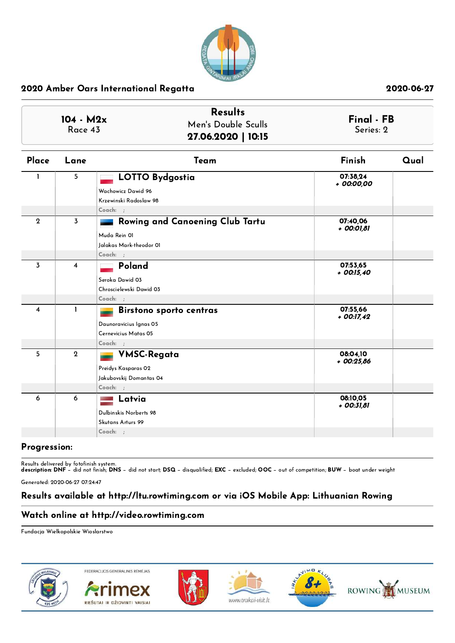

| $104 - M2x$<br>Race 43 |                | <b>Results</b><br>Men's Double Sculls<br>27.06.2020   10:15                                     | Series: 2                | Final - FB |  |
|------------------------|----------------|-------------------------------------------------------------------------------------------------|--------------------------|------------|--|
| Place                  | Lane           | Team                                                                                            | Finish                   | Qual       |  |
| L                      | 5              | <b>LOTTO Bydgostia</b><br>Wachowicz Dawid 96<br>Krzewinski Radoslaw 98<br>$Coach:$ :            | 07:38,24<br>+ 00:00,00   |            |  |
| $\mathbf{2}$           | 3              | <b>Rowing and Canoening Club Tartu</b><br>Muda Rein 01<br>Jalakas Mark-theodor 01<br>$Coach:$ : | 07:40,06<br>+ 00:01,81   |            |  |
| 3                      | 4              | Poland<br>Seroka Dawid 03<br>Chroscielewski Dawid 03<br>Coach: ;                                | 07:53,65<br>$+$ 00:15,40 |            |  |
| 4                      | $\mathbf{I}$   | <b>Birstono sporto centras</b><br>Daunoravicius Ignas 05<br>Cernevicius Matas 05<br>$Coach:$ ;  | 07:55,66<br>$+$ 00:17,42 |            |  |
| 5                      | $\overline{2}$ | <b>VMSC-Regata</b><br>Preidys Kasparas 02<br>Jakubovskij Domantas 04<br>Coach: ;                | 08:04,10<br>$+00:25,86$  |            |  |
| 6                      | 6              | Latvia<br>Dulbinskis Norberts 98<br>Skutans Arturs 99<br>$Coach:$ ;                             | 08:10,05<br>$+$ 00:31,81 |            |  |

## Progression:

Results delivered by fotofinish system.

description: DNF − did not finish; DNS − did not start; DSQ − disqualified; EXC − excluded; OOC − out of competition; BUW − boat under weight

Generated: 2020-06-27 07:24:47

## Results available at http://ltu.rowtiming.com or via iOS Mobile App: Lithuanian Rowing

## Watch online at http://video.rowtiming.com

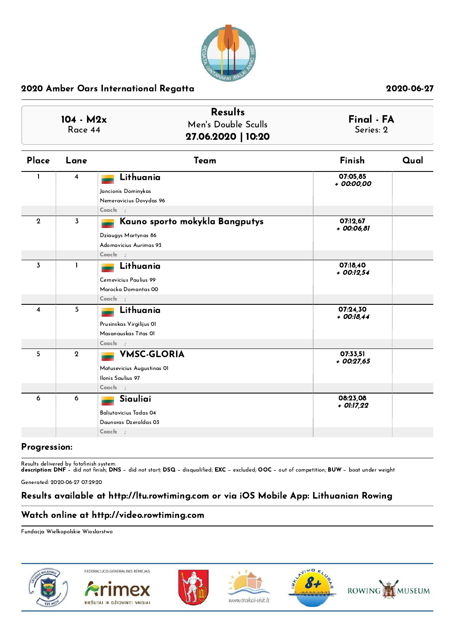

| $104 - M2x$<br>Race 44 |                | <b>Results</b><br>Men's Double Sculls<br>27.06.2020   10:20                                    | Final - FA<br>Series: 2  |      |
|------------------------|----------------|------------------------------------------------------------------------------------------------|--------------------------|------|
| Place                  | Lane           | Team                                                                                           | Finish                   | Qual |
| L                      | 4              | Lithuania<br>Jancionis Dominykas<br>Nemeravicius Dovydas 96<br>$Coach:$ :                      | 07:05,85<br>+ 00:00,00   |      |
| $\mathbf 2$            | $\overline{3}$ | Kauno sporto mokykla Bangputys<br>Dziaugys Martynas 86<br>Adomavicius Aurimas 93<br>$Coach:$ ; | 07:12,67<br>+ 00:06,81   |      |
| 3                      | $\mathbf{I}$   | Lithuania<br>Cernevicius Paulius 99<br>Marocka Domantas 00<br>$Coach:$ ;                       | 07:18,40<br>$+$ 00:12,54 |      |
| 4                      | 5              | Lithuania<br>Prusinskas Virgilijus Ol<br>Masanauskas Titas OI<br>$Coach:$ ;                    | 07:24.30<br>$+$ 00:18,44 |      |
| 5                      | $\mathbf{2}$   | <b>VMSC-GLORIA</b><br>Matusevicius Augustinas 01<br>Ilonis Saulius 97<br>$Coach:$ ;            | 07:33,51<br>$+00:27,65$  |      |
| 6                      | 6              | Siauliai<br>Baliutavicius Tadas 04<br>Daunoras Dzeraldas 03<br>$Coach:$ ;                      | 08:23,08<br>+ 01:17,22   |      |

## Progression:

Results delivered by fotofinish system.

description: DNF − did not finish; DNS − did not start; DSQ − disqualified; EXC − excluded; OOC − out of competition; BUW − boat under weight

Generated: 2020-06-27 07:29:20

## Results available at http://ltu.rowtiming.com or via iOS Mobile App: Lithuanian Rowing

## Watch online at http://video.rowtiming.com

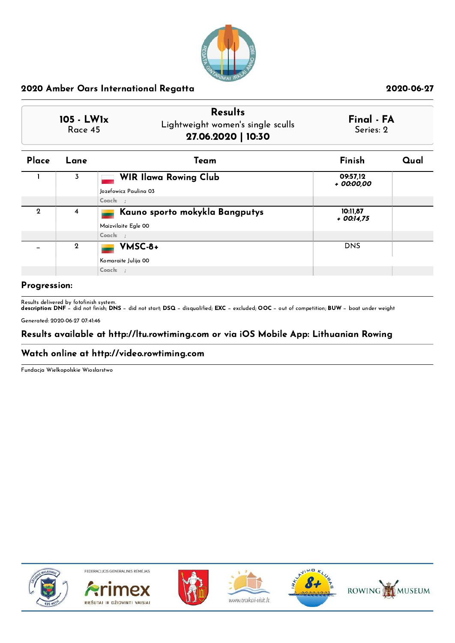

|              | <b>Results</b>                    |            |
|--------------|-----------------------------------|------------|
| $105 - LW1x$ | Lightweight women's single sculls | Final - FA |
| Race 45      | 27.06.2020   10:30                | Series: 2  |

| <b>WIR Ilawa Rowing Club</b><br>09:57,12<br>3<br>+ 00:00,00<br>Jozefowicz Paulina 03 |  |
|--------------------------------------------------------------------------------------|--|
|                                                                                      |  |
|                                                                                      |  |
| Coach: ;                                                                             |  |
| Kauno sporto mokykla Bangputys<br>$\mathbf 2$<br>10:11,87<br>4<br>$+$ 00:14.75       |  |
| Maizvilaite Egle 00                                                                  |  |
| $Coach:$ :                                                                           |  |
| VMSC-8+<br><b>DNS</b><br>$\overline{2}$                                              |  |
| Komaraite Julija 00                                                                  |  |
| $Coach:$ :                                                                           |  |

## Progression:

Results delivered by fotofinish system.

description: DNF − did not finish; DNS − did not start; DSQ − disqualified; EXC − excluded; OOC − out of competition; BUW − boat under weight

Generated: 2020-06-27 07:41:46

## Results available at http://ltu.rowtiming.com or via iOS Mobile App: Lithuanian Rowing

### Watch online at http://video.rowtiming.com

Fundacja Wielkopolskie Wioslarstwo



FEDERACIJOS GENERALINIS RÉMÉJAS









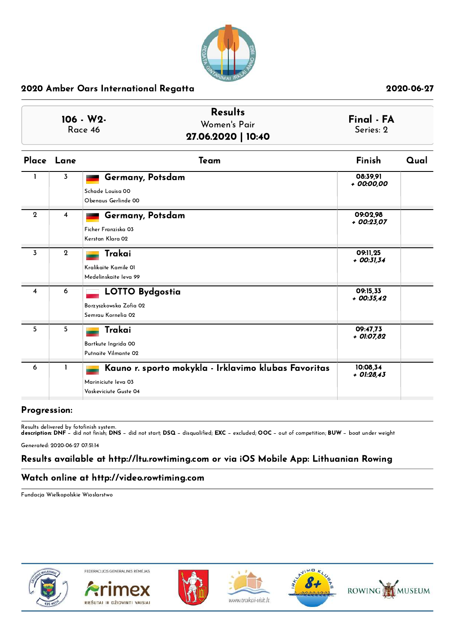

| 106 - W2-<br>Race 46 |                | <b>Results</b><br>Women's Pair<br>27.06.2020   10:40                                                 | Final - FA<br>Series: 2  |      |
|----------------------|----------------|------------------------------------------------------------------------------------------------------|--------------------------|------|
|                      | Place Lane     | Team                                                                                                 | Finish                   | Qual |
| $\mathbf{1}$         | 3              | Germany, Potsdam<br>Schade Louisa 00<br>Obenaus Gerlinde 00                                          | 08:39,91<br>+ 00:00,00   |      |
| $\mathbf 2$          | $\overline{4}$ | Germany, Potsdam<br>Ficher Franziska 03<br>Kerstan Klara 02                                          | 09:02.98<br>$+00:23,07$  |      |
| 3                    | $\mathbf 2$    | Trakai<br>Kralikaite Kamile 01<br>Medelinskaite leva 99                                              | 09:11.25<br>$+$ 00:31,34 |      |
| $\overline{4}$       | 6              | <b>LOTTO Bydgostia</b><br>Borzyszkowska Zofia 02<br>Semrau Kornelia 02                               | 09:15,33<br>$+00:35,42$  |      |
| 5                    | 5              | Trakai<br>Bartkute Ingrida 00<br>Putnaite Vilmante 02                                                | 09:47.73<br>+ 01:07,82   |      |
| 6                    | 1              | Kauno r. sporto mokykla - Irklavimo klubas Favoritas<br>Mariniciute Ieva 03<br>Vaskeviciute Guste 04 | 10:08,34<br>$+$ 01:28,43 |      |

## Progression:

Results delivered by fotofinish system. description: DNF − did not finish; DNS − did not start; DSQ − disqualified; EXC − excluded; OOC − out of competition; BUW − boat under weight

Generated: 2020-06-27 07:51:14

# Results available at http://ltu.rowtiming.com or via iOS Mobile App: Lithuanian Rowing

## Watch online at http://video.rowtiming.com

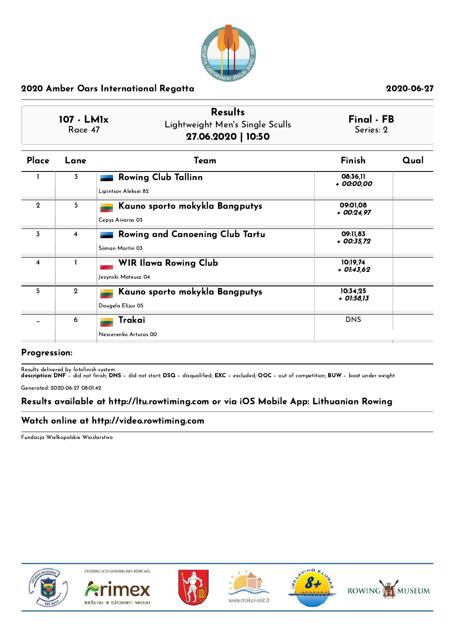

| 107 - LM1x<br>Race 47 |              | <b>Results</b><br>Lightweight Men's Single Sculls<br>27.06.2020   10:50 | Final - FB<br>Series: 2  |      |
|-----------------------|--------------|-------------------------------------------------------------------------|--------------------------|------|
| Place                 | Lane         | Team                                                                    | Finish                   | Qual |
|                       | 3            | <b>Rowing Club Tallinn</b><br>Lipintsov Aleksei 82                      | 08:36.11<br>+ 00:00.00   |      |
| $\mathbf{2}$          | 5            | Kauno sporto mokykla Bangputys<br>Cepys Aivaras 03                      | 09:01,08<br>+ 00:24,97   |      |
| 3                     | 4            | Rowing and Canoening Club Tartu<br>Siiman Martin 03                     | 09:11.83<br>+ 00:35.72   |      |
| 4                     | 1            | <b>WIR Ilawa Rowing Club</b><br>Jezynski Mateusz 04                     | 10:19.74<br>$+$ 01:43.62 |      |
| 5                     | $\mathbf{2}$ | Kauno sporto mokykla Bangputys<br>Daugela Elijus 05                     | 10:34.25<br>$+$ 01:58,13 |      |
|                       | 6            | Trakai<br>Nescerenko Arturas 00                                         | <b>DNS</b>               |      |

## Progression:

Results delivered by fotofinish system.

description: DNF − did not finish; DNS − did not start; DSQ − disqualified; EXC − excluded; OOC − out of competition; BUW − boat under weight

Generated: 2020-06-27 08:01:42

## Results available at http://ltu.rowtiming.com or via iOS Mobile App: Lithuanian Rowing

### Watch online at http://video.rowtiming.com

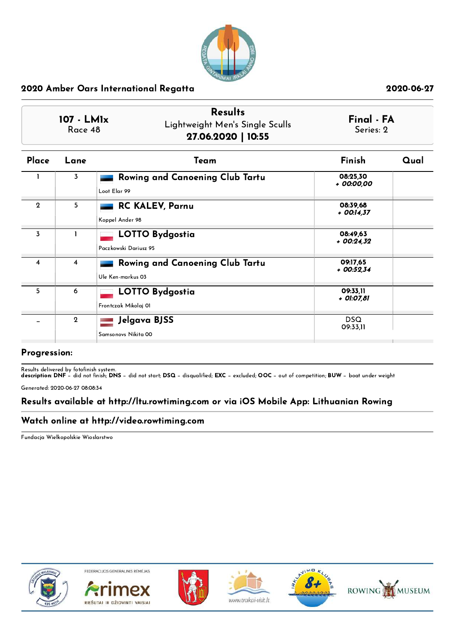

|                | <b>Results</b><br>Final - FA<br>107 - LM1x<br>Lightweight Men's Single Sculls<br>Series: 2<br>Race 48<br>27.06.2020   10:55 |                                                      |                          |      |
|----------------|-----------------------------------------------------------------------------------------------------------------------------|------------------------------------------------------|--------------------------|------|
| Place          | Lane                                                                                                                        | Team                                                 | Finish                   | Qual |
|                | 3                                                                                                                           | Rowing and Canoening Club Tartu<br>Loot Elar 99      | 08:25.30<br>+ 00:00,00   |      |
| $\mathbf{2}$   | 5                                                                                                                           | <b>RC KALEV, Parnu</b><br>Koppel Ander 98            | 08:39.68<br>$+$ 00:14.37 |      |
| $\overline{3}$ |                                                                                                                             | <b>LOTTO Bydgostia</b><br>Paczkowski Dariusz 95      | 08:49,63<br>$+00:24.32$  |      |
| 4              | 4                                                                                                                           | Rowing and Canoening Club Tartu<br>Ule Ken-markus 03 | 09:17.65<br>$+00:52.34$  |      |
| 5              | 6                                                                                                                           | <b>LOTTO Bydgostia</b><br>Frontczak Mikolaj 01       | 09:33.11<br>+ 01:07,81   |      |
|                | $\mathbf 2$                                                                                                                 | Jelgava BJSS<br>Samsonovs Nikita 00                  | <b>DSQ</b><br>09:33,11   |      |

## Progression:

Results delivered by fotofinish system.

description: DNF − did not finish; DNS − did not start; DSQ − disqualified; EXC − excluded; OOC − out of competition; BUW − boat under weight

Generated: 2020-06-27 08:08:34

## Results available at http://ltu.rowtiming.com or via iOS Mobile App: Lithuanian Rowing

### Watch online at http://video.rowtiming.com

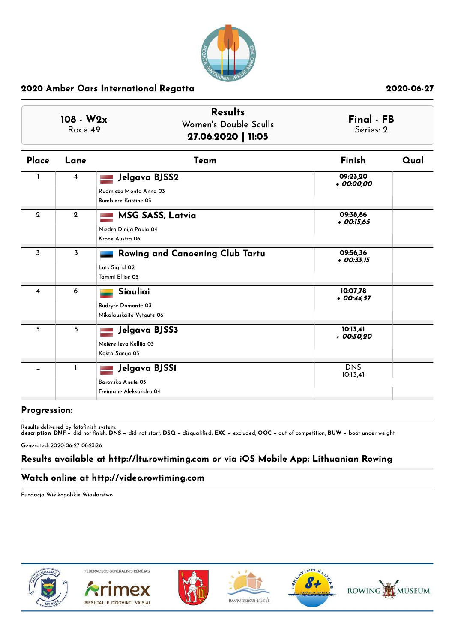

| 108 - W2x<br>Race 49 |              | <b>Results</b><br>Women's Double Sculls<br>27.06.2020   11:05          | Final - FB<br>Series: 2  |      |
|----------------------|--------------|------------------------------------------------------------------------|--------------------------|------|
| Place                | Lane         | Team                                                                   | Finish                   | Qual |
|                      | 4            | Jelgava BJSS2<br>Rudmieze Monta Anna 03<br><b>Bumbiere Kristine 03</b> | 09:23.20<br>+ 00:00,00   |      |
| $\mathbf{2}$         | $\mathbf{2}$ | <b>MSG SASS, Latvia</b><br>Niedra Dinija Paula 04<br>Krone Austra 06   | 09:38.86<br>$+$ 00:15,65 |      |
| 3                    | 3            | Rowing and Canoening Club Tartu<br>Luts Sigrid 02<br>Tammi Eliise 05   | 09:56.36<br>$+$ 00:33,15 |      |
| $\overline{4}$       | 6            | Siauliai<br>Budryte Domante 03<br>Mikalauskaite Vytaute 06             | 10:07.78<br>$+$ 00:44,57 |      |
| 5                    | 5            | Jelgava BJSS3<br>Meiere leva Kellija 03<br>Kokta Sanija 03             | 10:13,41<br>+ 00:50,20   |      |
|                      | 1            | Jelgava BJSS1<br>Barovska Anete 03<br>Freimane Aleksandra 04           | <b>DNS</b><br>10:13,41   |      |

## Progression:

Results delivered by fotofinish system.

description: DNF − did not finish; DNS − did not start; DSQ − disqualified; EXC − excluded; OOC − out of competition; BUW − boat under weight

Generated: 2020-06-27 08:23:26

# Results available at http://ltu.rowtiming.com or via iOS Mobile App: Lithuanian Rowing

## Watch online at http://video.rowtiming.com

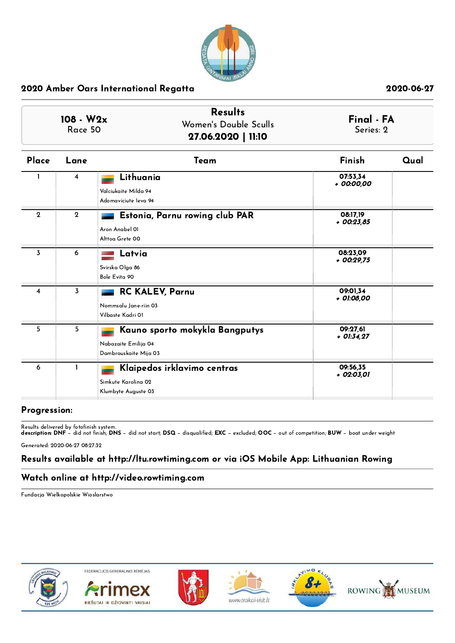

| 108 - W2x<br>Race 50 |                | <b>Results</b><br>Women's Double Sculls<br>27.06.2020   11:10                   | Final - FA<br>Series: 2  |      |  |
|----------------------|----------------|---------------------------------------------------------------------------------|--------------------------|------|--|
| Place                | Lane           | Team                                                                            | <b>Finish</b>            | Qual |  |
| L                    | 4              | Lithuania<br>Valciukaite Milda 94<br>Adomaviciute leva 94                       | 07:53,34<br>+ 00:00,00   |      |  |
| $\mathbf{2}$         | $\overline{2}$ | Estonia, Parnu rowing club PAR<br>Aron Anabel 01<br>Alttoa Grete 00             | 08:17,19<br>$+$ 00:23,85 |      |  |
| 3                    | 6              | Latvia<br>Svirska Olga 86<br>Bole Evita 90                                      | 08:23.09<br>$+00:29.75$  |      |  |
| 4                    | $\overline{3}$ | <b>RC KALEV, Parnu</b><br>Nommsalu Jane-riin 03<br>Vilbaste Kadri 01            | 09:01.34<br>+ 01:08,00   |      |  |
| 5                    | 5              | Kauno sporto mokykla Bangputys<br>Nabazaite Emilija 04<br>Dambrauskaite Mija 03 | 09:27,61<br>$+$ 01:34.27 |      |  |
| 6                    | 1              | Klaipedos irklavimo centras<br>Simkute Karolina 02<br>Klumbyte Auguste 03       | 09:56.35<br>+ 02:03,01   |      |  |

## Progression:

Results delivered by fotofinish system. description: DNF − did not finish; DNS − did not start; DSQ − disqualified; EXC − excluded; OOC − out of competition; BUW − boat under weight

Generated: 2020-06-27 08:27:32

# Results available at http://ltu.rowtiming.com or via iOS Mobile App: Lithuanian Rowing

## Watch online at http://video.rowtiming.com

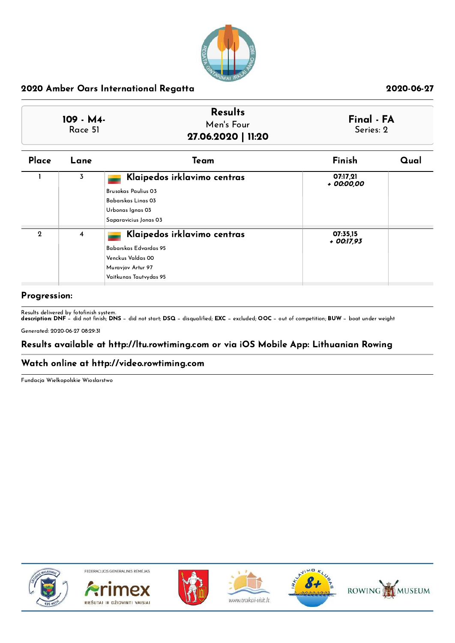

| 109 - M4- | <b>Results</b>     | Final - FA |
|-----------|--------------------|------------|
| Race 51   | Men's Four         | Series: 2  |
|           | 27.06.2020   11:20 |            |

| Place | Lane           | Team                                                                                                                         | Finish                   | Qual |
|-------|----------------|------------------------------------------------------------------------------------------------------------------------------|--------------------------|------|
|       | $\overline{3}$ | Klaipedos irklavimo centras<br><b>Brusokas Paulius 03</b><br>Babarskas Linas 03<br>Urbonas Ignas 03<br>Saparavicius Jonas 03 | 07:17,21<br>+ 00:00,00   |      |
| 2     | $\overline{4}$ | Klaipedos irklavimo centras<br>Babarskas Edvardas 95<br>Venckus Valdas 00<br>Muravjov Artur 97<br>Vaitkunas Tautvydas 95     | 07:35,15<br>$+$ 00:17,93 |      |

## Progression:

Results delivered by fotofinish system. description: DNF − did not finish; DNS − did not start; DSQ − disqualified; EXC − excluded; OOC − out of competition; BUW − boat under weight

Generated: 2020-06-27 08:29:31

## Results available at http://ltu.rowtiming.com or via iOS Mobile App: Lithuanian Rowing

### Watch online at http://video.rowtiming.com

Fundacja Wielkopolskie Wioslarstwo



FEDERACIJOS GENERALINIS RÉMÉJAS









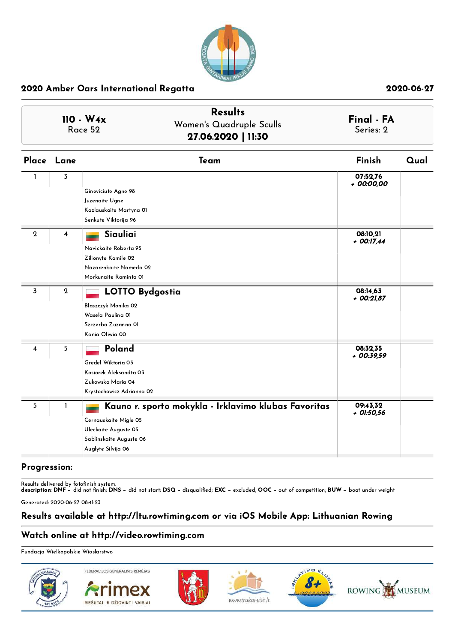

| $110 - W4x$<br>Race 52 | <b>Results</b><br>Women's Quadruple Sculls<br>27.06.2020   11:30 | Final - FA<br>Series: 2 |
|------------------------|------------------------------------------------------------------|-------------------------|
|------------------------|------------------------------------------------------------------|-------------------------|

|                  | Place Lane  | Team                                                 | Finish                   | Qual |
|------------------|-------------|------------------------------------------------------|--------------------------|------|
| $\mathbf{I}$     | 3           | Gineviciute Agne 98                                  | 07:52,76<br>$+00:00,00$  |      |
|                  |             | Juzenaite Ugne                                       |                          |      |
|                  |             | Kazlauskaite Martyna 01                              |                          |      |
|                  |             | Senkute Viktorija 96                                 |                          |      |
| $\boldsymbol{2}$ | 4           | Siauliai<br>Navickaite Roberta 95                    | 08:10,21<br>$+$ 00:17,44 |      |
|                  |             | Zilionyte Kamile 02                                  |                          |      |
|                  |             | Nazarenkaite Nomeda 02                               |                          |      |
|                  |             | Morkunaite Raminta 01                                |                          |      |
| 3                | $\mathbf 2$ | <b>LOTTO Bydgostia</b>                               | 08:14,63<br>+ 00:21,87   |      |
|                  |             | Blaszczyk Monika 02                                  |                          |      |
|                  |             | Wasela Paulina OI                                    |                          |      |
|                  |             | Szczerba Zuzanna Ol                                  |                          |      |
|                  |             | Kania Oliwia 00                                      |                          |      |
| 4                | 5           | Poland                                               | 08:32,35<br>$+00:39,59$  |      |
|                  |             | Gredel Wiktoria 03                                   |                          |      |
|                  |             | Kosiorek Aleksandta 03                               |                          |      |
|                  |             | Zukowska Maria 04                                    |                          |      |
|                  |             | Krystochowicz Adrianna 02                            |                          |      |
| 5                | 1           | Kauno r. sporto mokykla - Irklavimo klubas Favoritas | 09:43,32<br>$+$ 01:50,56 |      |
|                  |             | Cernauskaite Migle 05                                |                          |      |
|                  |             | Uleckaite Auguste 05                                 |                          |      |
|                  |             | Sablinskaite Auguste 06                              |                          |      |
|                  |             | Auglyte Silvija 06                                   |                          |      |

## Progression:

Results delivered by fotofinish system. description: DNF − did not finish; DNS − did not start; DSQ − disqualified; EXC − excluded; OOC − out of competition; BUW − boat under weight

Generated: 2020-06-27 08:41:23

## Results available at http://ltu.rowtiming.com or via iOS Mobile App: Lithuanian Rowing

## Watch online at http://video.rowtiming.com

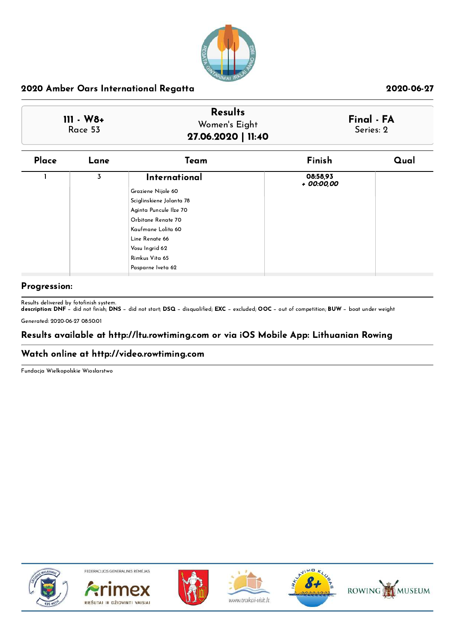

|              | <b>Results</b>     |            |
|--------------|--------------------|------------|
| $111 - W8 +$ | Women's Eight      | Final - FA |
| Race 53      | 27.06.2020   11:40 | Series: 2  |

| Place | Lane | Team                                                                                                                                                                                        | Finish                 | Qual |
|-------|------|---------------------------------------------------------------------------------------------------------------------------------------------------------------------------------------------|------------------------|------|
|       | 3    | International<br>Graziene Nijole 60<br>Sciglinskiene Jolanta 78<br>Aginta Puncule Ilze 70<br>Orbitane Renate 70<br>Kaufmane Lolita 60<br>Line Renate 66<br>Vosu Ingrid 62<br>Rimkus Vita 65 | 08:58,93<br>+ 00:00,00 |      |
|       |      | Pasparne Iveta 62                                                                                                                                                                           |                        |      |

## Progression:

Results delivered by fotofinish system.

description: DNF − did not finish; DNS − did not start; DSQ − disqualified; EXC − excluded; OOC − out of competition; BUW − boat under weight Generated: 2020-06-27 08:50:01

# Results available at http://ltu.rowtiming.com or via iOS Mobile App: Lithuanian Rowing

## Watch online at http://video.rowtiming.com

Fundacja Wielkopolskie Wioslarstwo



FEDERACIJOS GENERALINIS RÉMÉJAS









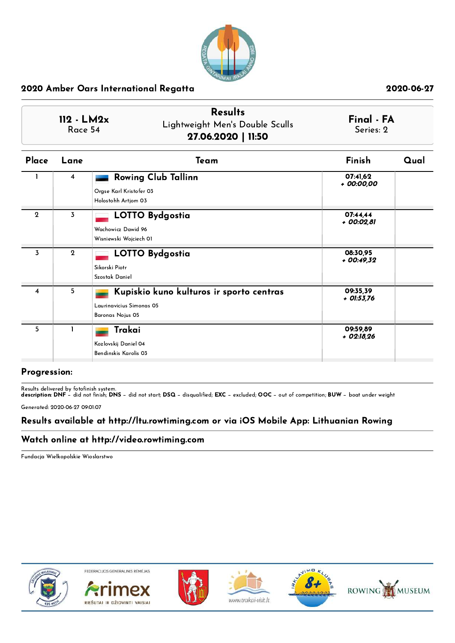

| Place          | Lane           | Team                                     | Finish                   | Qual |
|----------------|----------------|------------------------------------------|--------------------------|------|
|                | $\overline{4}$ | <b>Rowing Club Tallinn</b>               | 07:41,62<br>+ 00:00,00   |      |
|                |                | Orgse Karl Kristofer 03                  |                          |      |
|                |                | Holostohh Artjom 03                      |                          |      |
| $\mathbf{2}$   | 3              | <b>LOTTO Bydgostia</b>                   | 07:44,44<br>+ 00:02,81   |      |
|                |                | Wachowicz Dawid 96                       |                          |      |
|                |                | Wisniewski Wojciech OI                   |                          |      |
| $\overline{3}$ | $\mathbf{2}$   | <b>LOTTO Bydgostia</b>                   | 08:30,95<br>+ 00:49,32   |      |
|                |                | Sikorski Piotr                           |                          |      |
|                |                | Szostak Daniel                           |                          |      |
| 4              | 5              | Kupiskio kuno kulturos ir sporto centras | 09:35,39<br>$+$ 01:53,76 |      |
|                |                | Laurinavicius Simonas 05                 |                          |      |
|                |                | Baronas Nojus 05                         |                          |      |
| 5              |                | Trakai                                   | 09:59,89<br>$+$ 02:18,26 |      |
|                |                | Kozlovskij Daniel 04                     |                          |      |
|                |                | Bendinskis Karolis 03                    |                          |      |
|                |                |                                          |                          |      |

### Progression:

Results delivered by fotofinish system.

description: DNF − did not finish; DNS − did not start; DSQ − disqualified; EXC − excluded; OOC − out of competition; BUW − boat under weight

Generated: 2020-06-27 09:01:07

## Results available at http://ltu.rowtiming.com or via iOS Mobile App: Lithuanian Rowing

### Watch online at http://video.rowtiming.com

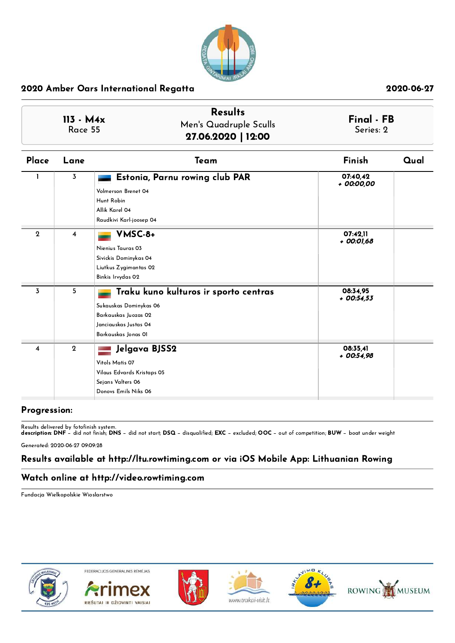

| $113 - M4x$<br>Race 55 |                | <b>Results</b><br>Men's Quadruple Sculls<br>27.06.2020   12:00                                                                          | Final - FB<br>Series: 2 |      |
|------------------------|----------------|-----------------------------------------------------------------------------------------------------------------------------------------|-------------------------|------|
| Place                  | Lane           | Team                                                                                                                                    | Finish                  | Qual |
|                        | 3              | Estonia, Parnu rowing club PAR<br>Volmerson Brenet 04<br>Hunt Robin<br>Allik Karel 04<br>Raudkivi Karl-joosep 04                        | 07:40.42<br>+ 00:00,00  |      |
| $\mathbf 2$            | $\overline{4}$ | VMSC-8+<br>Nienius Tauras 03<br>Sivickis Dominykas 04<br>Liutkus Zygimantas 02<br>Binkis Irvydas 02                                     | 07:42.11<br>+ 00:01,68  |      |
| $\overline{3}$         | 5              | Traku kuno kulturos ir sporto centras<br>Sukauskas Dominykas 06<br>Barkauskas Juozas 02<br>Janciauskas Justas 04<br>Barkauskas Jonas OI | 08:34.95<br>$+00:54,53$ |      |
| 4                      | $\mathbf{2}$   | Jelgava BJSS2<br>Vitols Matis 07<br>Vilaus Edvards Kristaps 05<br>Sejans Valters 06<br>Donovs Emils Niks 06                             | 08:35.41<br>$+00:54,98$ |      |

## Progression:

Results delivered by fotofinish system. description: DNF − did not finish; DNS − did not start; DSQ − disqualified; EXC − excluded; OOC − out of competition; BUW − boat under weight

Generated: 2020-06-27 09:09:28

# Results available at http://ltu.rowtiming.com or via iOS Mobile App: Lithuanian Rowing

### Watch online at http://video.rowtiming.com

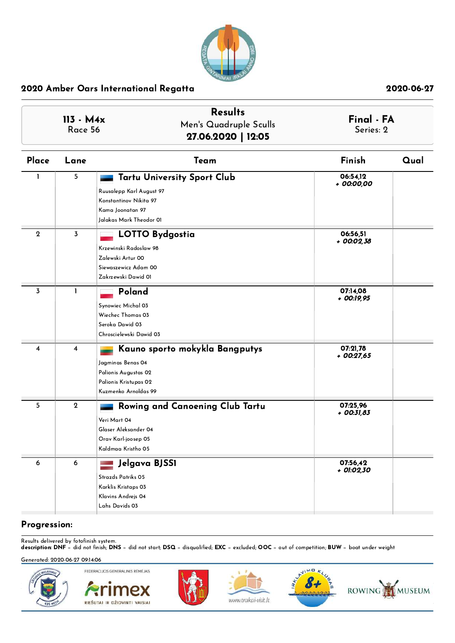

| $113 - M4x$<br>Race 56 |             | <b>Results</b><br>Men's Quadruple Sculls<br>27.06.2020   12:05                                                                          | Final - FA<br>Series: 2  |      |
|------------------------|-------------|-----------------------------------------------------------------------------------------------------------------------------------------|--------------------------|------|
| Place                  | Lane        | Team                                                                                                                                    | Finish                   | Qual |
| ı                      | 5           | <b>Tartu University Sport Club</b><br>Ruusalepp Karl August 97<br>Konstantinov Nikita 97<br>Kama Joonatan 97<br>Jalakas Mark Theodor OI | 06:54,12<br>+ 00:00,00   |      |
| $\mathbf{2}$           | 3           | LOTTO Bydgostia<br>Krzewinski Radoslaw 98<br>Zalewski Artur 00<br>Siewaszewicz Adam 00<br>Zakrzewski Dawid 01                           | 06:56,51<br>+ 00:02,38   |      |
| 3                      | L           | Poland<br>Synowiec Michal 03<br>Wiechec Thomas 03<br>Seroka Dawid 03<br>Chroscielewski Dawid 03                                         | 07:14,08<br>$+$ 00:19,95 |      |
| 4                      | 4           | Kauno sporto mokykla Bangputys<br>Jagminas Benas 04<br>Palionis Augustas 02<br>Palionis Kristupas 02<br>Kuzmenko Arnoldas 99            | 07:21,78<br>$+$ 00:27,65 |      |
| 5                      | $\mathbf 2$ | Rowing and Canoening Club Tartu<br>Veri Mart 04<br>Glaser Aleksander 04<br>Orav Karl-joosep 05<br>Kaldmaa Kristho 05                    | 07:25,96<br>$+$ 00:31,83 |      |
| 6                      | 6           | Jelgava BJSS1<br>Strazds Patriks 05<br>Karklis Kristaps 03<br>Klavins Andrejs 04<br>Lahs Davids 03                                      | 07:56,42<br>+ 01:02,30   |      |

## Progression:

Results delivered by fotofinish system. description: DNF − did not finish; DNS − did not start; DSQ − disqualified; EXC − excluded; OOC − out of competition; BUW − boat under weight

### Generated: 2020-06-27 09:14:06

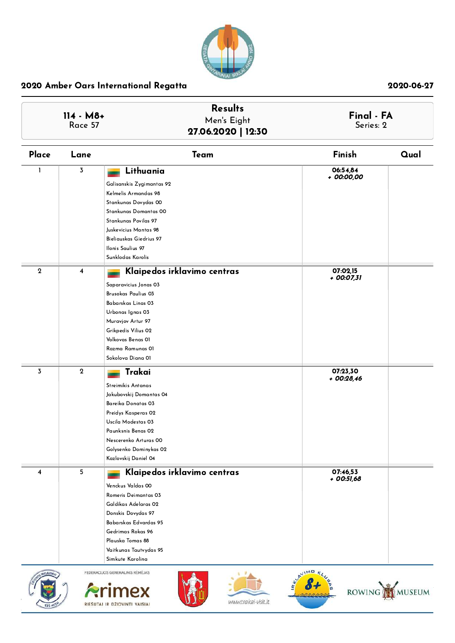

|                                | 114 - M8+<br>Race 57    | <b>Results</b><br>Men's Eight<br>27.06.2020   12:30                                                                                                                                                                                              | Final - FA<br>Series: 2 |
|--------------------------------|-------------------------|--------------------------------------------------------------------------------------------------------------------------------------------------------------------------------------------------------------------------------------------------|-------------------------|
| Place                          | Lane                    | Team                                                                                                                                                                                                                                             | Finish<br>Qual          |
| 1                              | $\overline{3}$          | Lithuania<br>Galisanskis Zygimantas 92<br>Kelmelis Armandas 98<br>Stankunas Dovydas 00<br>Stankunas Domantas 00<br>Stankunas Povilas 97<br>Juskevicius Mantas 98<br>Bieliauskas Giedrius 97<br>Ilonis Saulius 97                                 | 06:54,84<br>+ 00:00,00  |
| $\,2\,$                        | $\overline{\mathbf{4}}$ | Sunklodas Karolis<br>Klaipedos irklavimo centras<br>Saparavicius Jonas 03<br>Brusokas Paulius 03<br>Babarskas Linas 03<br>Urbonas Ignas 03<br>Muravjov Artur 97<br>Grikpedis Vilius 02<br>Volkovas Benas OI<br>Razma Ramunas 01                  | 07:02,15<br>+ 00:07,31  |
| 3                              | $\mathbf{2}$            | Sokolova Diana 01<br>Trakai<br>Streimikis Antanas<br>Jakubovskij Domantas 04<br>Bareika Donatas 03<br>Preidys Kasperas 02<br>Uscila Modestas 03<br>Paunksnis Benas 02<br>Nescerenko Arturas 00<br>Golysenko Dominykas 02<br>Kazlovskij Daniel 04 | 07:23,30<br>+ 00:28,46  |
| 4                              | 5 <sub>1</sub>          | Klaipedos irklavimo centras<br>Venckus Valdas 00<br>Romeris Deimantas 03<br>Galdikas Adelaras 02<br>Donskis Dovydas 97<br>Babarskas Edvardas 95<br>Gedrimas Rokas 96<br>Plauska Tomas 88<br>Vaitkunas Tautvydas 95<br>Simkute Karolina           | 07:46,53<br>$+00:51,68$ |
| <b>RKLAVIM</b><br><b>135 M</b> |                         | FEDERACIJOS GENERALINIS RĖMĖJAS<br>www.trakai-visit.lt<br>RIEŠUTAI IR DŽIOVINTI VAISIAI                                                                                                                                                          | AVIMO<br>ROWING MUSEUM  |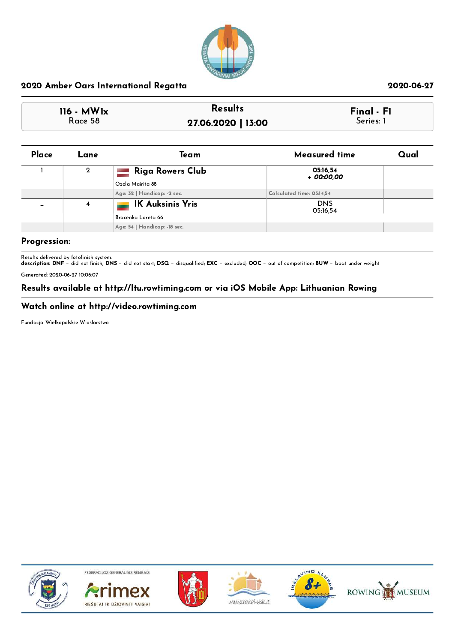

### 116 - MW1x Race 58 Results Final - Fi 27.06.2020 | 13:00 Series: 1

| Place | Lane        | Team                         | Measured time             | Qual |
|-------|-------------|------------------------------|---------------------------|------|
|       | $\mathbf 2$ | <b>Riga Rowers Club</b>      | 05:16,54<br>+ 00:00,00    |      |
|       |             | Ozola Mairita 88             |                           |      |
|       |             | Age: 32   Handicap: -2 sec.  | Calculated time: 05:14,54 |      |
|       | 4           | <b>IK Auksinis Yris</b>      | <b>DNS</b><br>05:16.54    |      |
|       |             | Bracenka Loreta 66           |                           |      |
|       |             | Age: 54   Handicap: -18 sec. |                           |      |

### Progression:

Results delivered by fotofinish system.<br>**description: DNF** − did not finish; **DNS** − did not start; **DSQ** − disqualified; **EXC** − excluded; **OOC** − out of competition; **BUW** − boat under weight

Generated: 2020-06-27 10:06:07

### Results available at http://ltu.rowtiming.com or via iOS Mobile App: Lithuanian Rowing

### Watch online at http://video.rowtiming.com

Fundacja Wielkopolskie Wioslarstwo



FEDERACIJOS GENERALINIS RĖMĖJAS











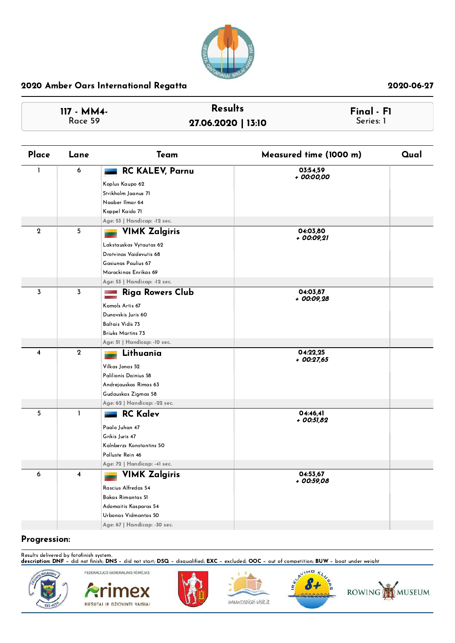

| $117 - MM4 -$ | <b>Results</b>     | Final - F1 |
|---------------|--------------------|------------|
| Race 59       | 27.06.2020   13:10 | Series: 1  |

| Place   | Lane                    | Team                                     | Measured time (1000 m) | Qual |
|---------|-------------------------|------------------------------------------|------------------------|------|
| L       | 6                       | <b>RC KALEV, Parnu</b>                   | 03:54,59               |      |
|         |                         | Koplus Kaupo 62                          | + 00:00,00             |      |
|         |                         | Strikholm Jaanus 71                      |                        |      |
|         |                         | Naaber Ilmar 64                          |                        |      |
|         |                         | Koppel Kaido 71                          |                        |      |
|         |                         | Age: 53   Handicap: -12 sec.             |                        |      |
| $\,2\,$ | 5                       | <b>VIMK Zalgiris</b>                     | 04:03,80               |      |
|         |                         | Lakstauskas Vytautas 62                  | + 00:09,21             |      |
|         |                         | Drotvinas Vaidevutis 68                  |                        |      |
|         |                         | Gasiunas Paulius 67                      |                        |      |
|         |                         | Marockinas Enrikas 69                    |                        |      |
|         |                         | Age: 53   Handicap: -12 sec.             |                        |      |
| 3       | 3                       | <b>Riga Rowers Club</b>                  | 04:03.87               |      |
|         |                         | Kamols Artis 67                          | + 00:09,28             |      |
|         |                         | Dunovskis Juris 60                       |                        |      |
|         |                         | <b>Baltais Vidis 73</b>                  |                        |      |
|         |                         | <b>Briuks Martins 73</b>                 |                        |      |
|         |                         | Age: 51   Handicap: - 10 sec.            |                        |      |
| 4       | $\overline{2}$          | Lithuania                                | 04:22,25               |      |
|         |                         |                                          | $+$ 00:27,65           |      |
|         |                         | Vilkas Jonas 52<br>Palilionis Dainius 58 |                        |      |
|         |                         | Andrejauskas Rimas 63                    |                        |      |
|         |                         | Gudauskas Zigmas 58                      |                        |      |
|         |                         | Age: 62   Handicap: -22 sec.             |                        |      |
| 5       | $\mathbf{I}$            | <b>RC Kalev</b>                          | 04:46,41               |      |
|         |                         |                                          | + 00:51,82             |      |
|         |                         | Paalo Juhan 47<br>Grikis Juris 47        |                        |      |
|         |                         | Kalnberzs Konstantins 50                 |                        |      |
|         |                         | Polluste Rein 46                         |                        |      |
|         |                         | Age: 72   Handicap: -41 sec.             |                        |      |
| 6       | $\overline{\mathbf{4}}$ | <b>VIMK Zalgiris</b>                     | 04:53,67               |      |
|         |                         | Rascius Alfredas 54                      | + 00:59,08             |      |
|         |                         | Bakas Rimantas 51                        |                        |      |
|         |                         | Adomaitis Kasparas 54                    |                        |      |
|         |                         | Urbonas Vidmantas 50                     |                        |      |
|         |                         | Age: 67   Handicap: - 30 sec.            |                        |      |
|         |                         |                                          |                        |      |

### Progression:

Results delivered by fotofinish system.<br>**description: DNF** − did not finish; **DNS** − did not start; **DSQ** − disaualified; **EXC** − excluded; **OOC** − out of competition; **BUW** − boat under weight



FEDERACIJOS GENERALINIS RĖMĖJAS imex RIEŠUTAI IR DŽIOVINTI VAISIAI







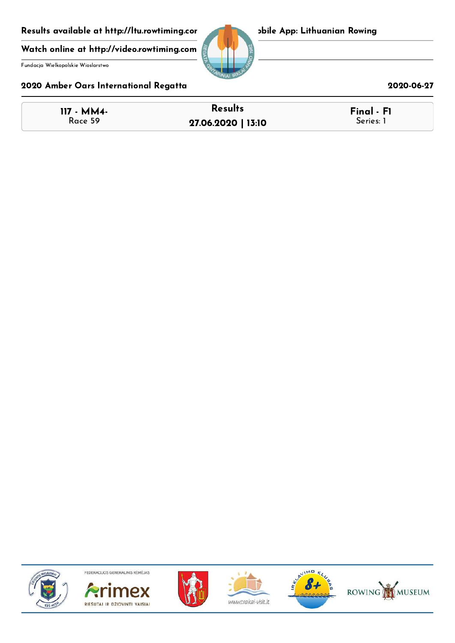Results available at http://ltu.rowtiming.cor bile App: Lithuanian Rowing

Watch online at http://video.rowtiming.com

Fundacja Wielkopolskie Wioslarstwo

## 2020 Amber Oars International Regatta 2020-06-27

| <b>117 - MM4-</b> | <b>Results</b>     | Final - F1 |
|-------------------|--------------------|------------|
| Race 59           | 27.06.2020   13:10 | Series: 1  |











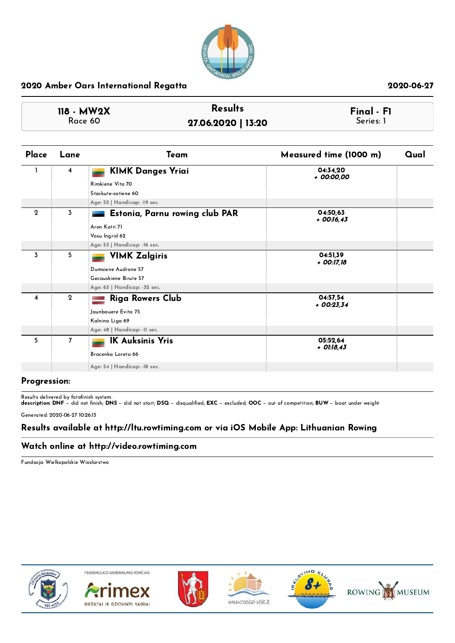

| 118 - MW2X | <b>Results</b>     | $Final - FI$ |
|------------|--------------------|--------------|
| Race 60    | 27.06.2020   13:20 | Series: 1    |

| Place          | Lane           | Team                           | Measured time (1000 m)   | Qual |
|----------------|----------------|--------------------------------|--------------------------|------|
|                | 4              | <b>KIMK Danges Yriai</b>       | 04:34,20<br>+ 00:00,00   |      |
|                |                | Rimkiene Vita 70               |                          |      |
|                |                | Stackute-satiene 60            |                          |      |
|                |                | Age: 55   Handicap: -19 sec.   |                          |      |
| $\mathbf{2}$   | 3              | Estonia, Parnu rowing club PAR | 04:50.63<br>$+$ 00:16,43 |      |
|                |                | Aron Katri 71                  |                          |      |
|                |                | Vosu Ingrid 62                 |                          |      |
|                |                | Age: 53   Handicap: -16 sec.   |                          |      |
| $\overline{3}$ | 5              | <b>VIMK Zalgiris</b>           | 04:51.39<br>+ 00:17,18   |      |
|                |                | Dumsiene Audrone 57            |                          |      |
|                |                | Gecauskiene Birute 57          |                          |      |
|                |                | Age: 63   Handicap: -32 sec.   |                          |      |
| 4              | $\mathbf{2}$   | <b>Riga Rowers Club</b>        | 04:57,54<br>$+00:23.34$  |      |
|                |                | Jaunbauere Evita 75            |                          |      |
|                |                | Kalnina Liga 69                |                          |      |
|                |                | Age: 48   Handicap: -11 sec.   |                          |      |
| 5              | $\overline{7}$ | <b>IK Auksinis Yris</b>        | 05:52,64                 |      |
|                |                | Bracenka Loreta 66             | + 01:18,43               |      |
|                |                |                                |                          |      |
|                |                | Age: 54   Handicap: -18 sec.   |                          |      |

### Progression:

Results delivered by fotofinish system.<br>**description: DNF** − did not finish; **DNS** − did not start; **DSQ** − disqualified; **EXC** − excluded; **OOC** − out of competition; **BUW** − boat under weight Generated: 2020-06-27 10:26:13

## Results available at http://ltu.rowtiming.com or via iOS Mobile App: Lithuanian Rowing

### Watch online at http://video.rowtiming.com

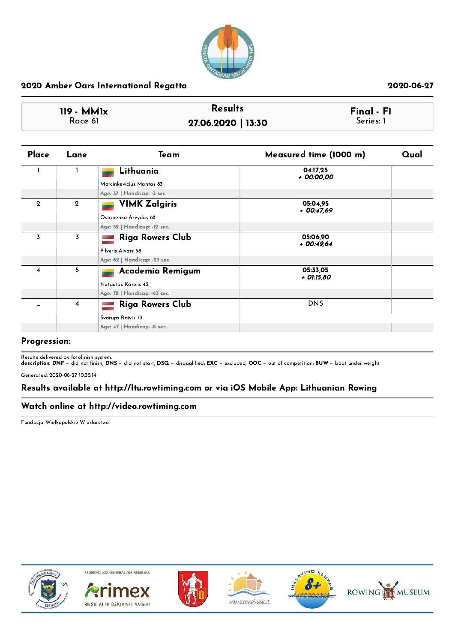

| $119 - MM1x$ | <b>Results</b>     | Final · FI |
|--------------|--------------------|------------|
| Race 61      | 27.06.2020   13:30 | Series: 1  |

| Place       | Lane           | Team                         | Measured time (1000 m)  | Qual |
|-------------|----------------|------------------------------|-------------------------|------|
|             |                | Lithuania                    | 04:17,25<br>+ 00:00,00  |      |
|             |                | Marcinkevicius Mantas 83     |                         |      |
|             |                | Age: 37   Handicap: -3 sec.  |                         |      |
| $\mathbf 2$ | $\mathbf{2}$   | <b>VIMK Zalgiris</b>         | 05:04,95<br>+ 00:47,69  |      |
|             |                | Ostapenka Arvydas 68         |                         |      |
|             |                | Age: 52   Handicap: -12 sec. |                         |      |
| 3           | 3              | <b>Riga Rowers Club</b>      | 05:06,90<br>$+00:49,64$ |      |
|             |                | Pilveris Aivars 58           |                         |      |
|             |                | Age: 62   Handicap: -23 sec. |                         |      |
| 4           | 5              | Academia Remigum             | 05:33,05<br>+ 01:15,80  |      |
|             |                | Nutautas Karolis 42          |                         |      |
|             |                | Age: 78   Handicap: -63 sec. |                         |      |
|             | $\overline{4}$ | <b>Riga Rowers Club</b>      | <b>DNS</b>              |      |
|             |                | Svarups Raivis 73            |                         |      |
|             |                | Age: 47   Handicap: - 8 sec. |                         |      |

### Progression:

Results delivered by fotofinish system.<br>**description: DNF** − did not finish; **DNS** − did not start; **DSQ** − disqualified; **EXC** − excluded; **OOC** − out of competition; **BUW** − boat under weight

Generated: 2020-06-27 10:35:14

### Results available at http://ltu.rowtiming.com or via iOS Mobile App: Lithuanian Rowing

### Watch online at http://video.rowtiming.com

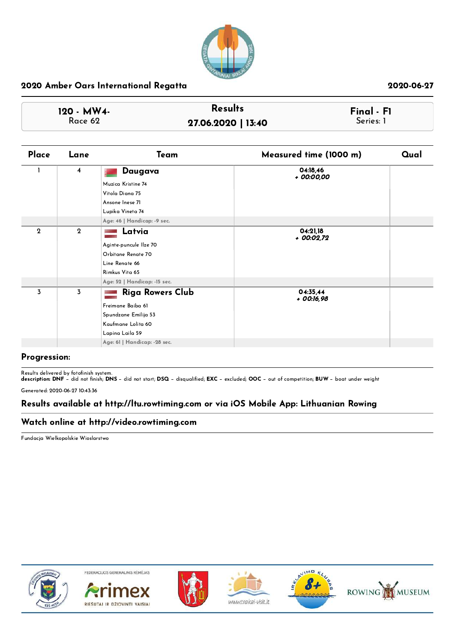

| 120 - MW4- | <b>Results</b>     | Final - F1 |
|------------|--------------------|------------|
| Race 62    | 27.06.2020   13:40 | Series: 1  |

| Place          | Lane           | Team                          | Measured time (1000 m)   | Qual |
|----------------|----------------|-------------------------------|--------------------------|------|
|                | $\overline{4}$ | Daugava                       | 04:18,46<br>+ 00:00,00   |      |
|                |                | Muzica Kristine 74            |                          |      |
|                |                | Vitola Diana 75               |                          |      |
|                |                | Ansone Inese 71               |                          |      |
|                |                | Lupika Vineta 74              |                          |      |
|                |                | Age: 46   Handicap: -9 sec.   |                          |      |
| $\overline{2}$ | $\overline{2}$ | Latvia                        | 04:21.18<br>+ 00:02,72   |      |
|                |                | Aginte-puncule Ilze 70        |                          |      |
|                |                | Orbitane Renate 70            |                          |      |
|                |                | Line Renate 66                |                          |      |
|                |                | Rimkus Vita 65                |                          |      |
|                |                | Age: 52   Handicap: -15 sec.  |                          |      |
| 3              | 3              | <b>Riga Rowers Club</b>       | 04:35.44<br>$+$ 00:16,98 |      |
|                |                | Freimane Baiba 61             |                          |      |
|                |                | Spundzane Emilija 53          |                          |      |
|                |                | Kaufmane Lolita 60            |                          |      |
|                |                | Lapina Laila 59               |                          |      |
|                |                | Age: 61   Handicap: - 28 sec. |                          |      |
|                |                |                               |                          |      |

### Progression:

Results delivered by fotofinish system.<br>**description: DNF** − did not finish; **DNS** − did not start; **DSQ** − disqualified; **EXC** − excluded; **OOC** − out of competition; **BUW** − boat under weight

Generated: 2020-06-27 10:43:36

### Results available at http://ltu.rowtiming.com or via iOS Mobile App: Lithuanian Rowing

### Watch online at http://video.rowtiming.com

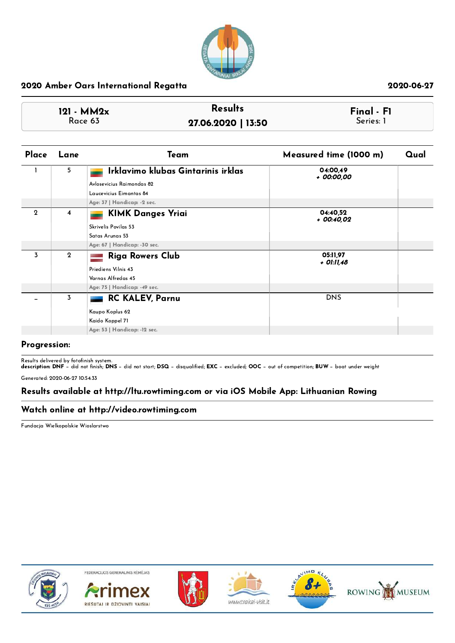

| $121 - MM2x$ | <b>Results</b>     | $\mathsf{Final} \cdot \mathsf{Fl}$ |  |
|--------------|--------------------|------------------------------------|--|
| Race 63      | 27.06.2020   13:50 | Series: 1                          |  |

| Place       | Lane         | Team                               | Measured time (1000 m) | Qual |
|-------------|--------------|------------------------------------|------------------------|------|
|             | 5            | Irklavimo klubas Gintarinis irklas | 04:00,49<br>+ 00:00,00 |      |
|             |              | Avlosevicius Raimondas 82          |                        |      |
|             |              | Laucevicius Eimantas 84            |                        |      |
|             |              | Age: 37   Handicap: -2 sec.        |                        |      |
| $\mathbf 2$ | 4            | <b>KIMK Danges Yriai</b>           | 04:40,52<br>+ 00:40,02 |      |
|             |              | Skrivelis Povilas 53               |                        |      |
|             |              | Satas Arunas 53                    |                        |      |
|             |              | Age: 67   Handicap: - 30 sec.      |                        |      |
| 3           | $\mathbf{2}$ | <b>Riga Rowers Club</b>            | 05:11,97               |      |
|             |              | Priediens Vilnis 43                | + 01:11,48             |      |
|             |              | Varnas Alfredas 45                 |                        |      |
|             |              | Age: 75   Handicap: -49 sec.       |                        |      |
|             | 3            | <b>RC KALEV, Parnu</b>             | <b>DNS</b>             |      |
|             |              | Kaupo Koplus 62                    |                        |      |
|             |              | Kaido Koppel 71                    |                        |      |
|             |              | Age: 53   Handicap: -12 sec.       |                        |      |
|             |              |                                    |                        |      |

### Progression:

Results delivered by fotofinish system.<br>**description: DNF** − did not finish; **DNS** − did not start; **DSQ** − disqualified; **EXC** − excluded; **OOC** − out of competition; **BUW** − boat under weight

Generated: 2020-06-27 10:54:33

### Results available at http://ltu.rowtiming.com or via iOS Mobile App: Lithuanian Rowing

### Watch online at http://video.rowtiming.com

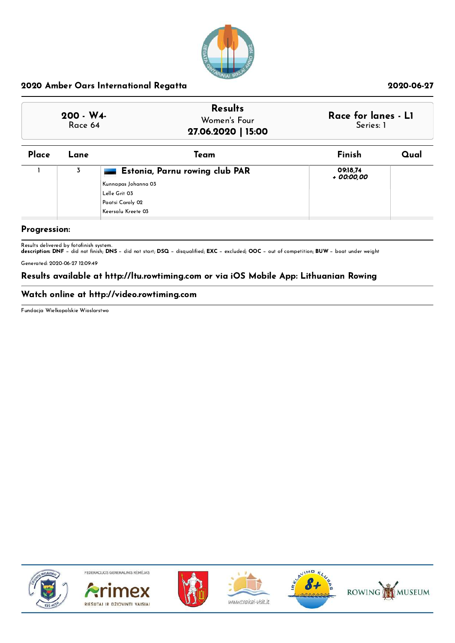

| $200 - W4$<br>Race 64 | <b>Results</b><br>Women's Four<br>27.06.2020   15:00 | Race for lanes - L1<br>Series: 1 |
|-----------------------|------------------------------------------------------|----------------------------------|
|                       |                                                      |                                  |

| Place | Lane | Team                           | Finish                 | Qual |
|-------|------|--------------------------------|------------------------|------|
|       | 3    | Estonia, Parnu rowing club PAR | 09:18,74<br>+ 00:00,00 |      |
|       |      | Kunnapas Johanna 03            |                        |      |
|       |      | Lelle Grit 03                  |                        |      |
|       |      | Paatsi Caroly 02               |                        |      |
|       |      | Keersalu Kreete 03             |                        |      |
|       |      |                                |                        |      |

## Progression:

Results delivered by fotofinish system.<br>**description: DNF** − did not finish; **DNS** − did not start; **DSQ** − disqualified; **EXC** − excluded; **OOC** − out of competition; **BUW** − boat under weight

Generated: 2020-06-27 12:09:49

### Results available at http://ltu.rowtiming.com or via iOS Mobile App: Lithuanian Rowing

### Watch online at http://video.rowtiming.com

Fundacja Wielkopolskie Wioslarstwo



FEDERACIJOS GENERALINIS RÉMÉJAS











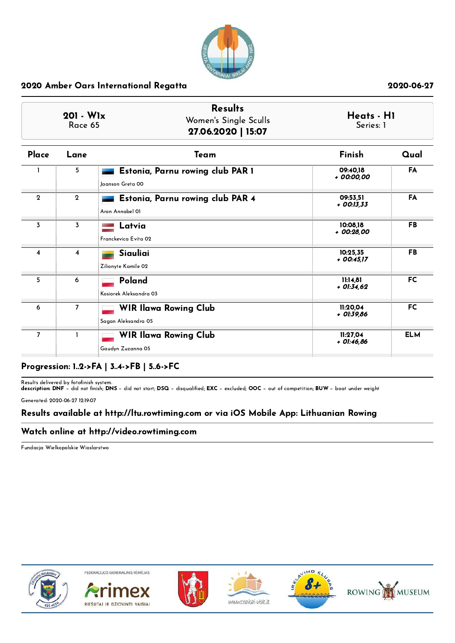

| $201 - W1x$<br>Race 65 |                | <b>Results</b><br>Women's Single Sculls<br>27.06.2020   15:07 |                          | Heats - H1<br>Series: 1 |  |
|------------------------|----------------|---------------------------------------------------------------|--------------------------|-------------------------|--|
| Place                  | Lane           | Team                                                          | Finish                   | Qual                    |  |
|                        | 5              | Estonia, Parnu rowing club PAR 1<br>Jaanson Greta 00          | 09:40.18<br>+ 00:00,00   | FA                      |  |
| $\mathbf{2}$           | $\mathbf{2}$   | Estonia, Parnu rowing club PAR 4<br>Aron Annabel 01           | 09:53.51<br>$+$ 00:13,33 | FA                      |  |
| 3                      | $\overline{3}$ | Latvia<br>Franckevica Evita 02                                | 10:08,18<br>+ 00:28.00   | <b>FB</b>               |  |
| 4                      | $\overline{4}$ | Siauliai<br>Zilionyte Kamile 02                               | 10:25,35<br>$+$ 00:45,17 | <b>FB</b>               |  |
| 5                      | 6              | Poland<br>Kosiorek Aleksandra 03                              | 11:14.81<br>$+$ 01:34,62 | <b>FC</b>               |  |
| 6                      | $\overline{7}$ | <b>WIR Ilawa Rowing Club</b><br>Sagan Aleksandra 05           | 11:20.04<br>$+$ 01:39,86 | <b>FC</b>               |  |
| $\overline{7}$         | 1              | <b>WIR Ilawa Rowing Club</b><br>Gaudyn Zuzanna 05             | 11:27,04<br>+ 01:46,86   | <b>ELM</b>              |  |

## Progression: 1..2->FA | 3..4->FB | 5..6->FC

Results delivered by fotofinish system.<br>**description: DNF** − did not finish; **DNS** − did not start; **DSQ** − disqualified; **EXC** − excluded; **OOC** − out of competition; **BUW** − boat under weight

Generated: 2020-06-27 12:19:07

### Results available at http://ltu.rowtiming.com or via iOS Mobile App: Lithuanian Rowing

### Watch online at http://video.rowtiming.com

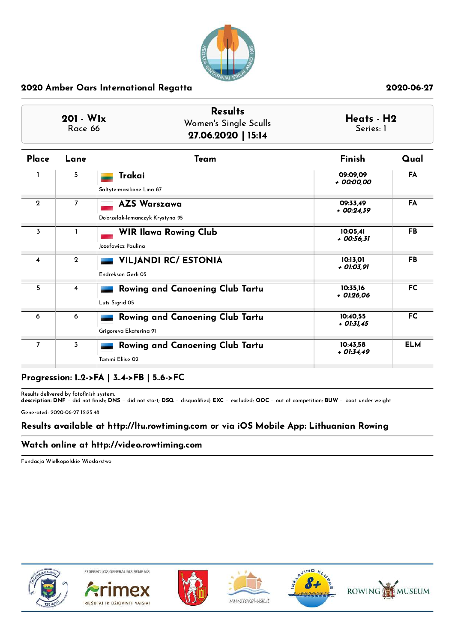

|--|

| Place          | Lane           | Team                                                             | Finish                   | Qual       |
|----------------|----------------|------------------------------------------------------------------|--------------------------|------------|
|                | 5.             | Trakai<br>Saltyte-masilione Lina 87                              | 09:09.09<br>+ 00:00,00   | FA         |
| $\mathbf{2}$   | 7              | <b>AZS Warszawa</b><br>Dobrzelak-lemanczyk Krystyna 95           | 09:33.49<br>+ 00:24,39   | FA         |
| 3              |                | <b>WIR Ilawa Rowing Club</b><br>Jozefowicz Paulina               | 10:05.41<br>+ 00:56,31   | <b>FB</b>  |
| 4              | $\overline{2}$ | <b>VILJANDI RC/ ESTONIA</b><br>Endrekson Gerli 05                | 10:13,01<br>+ 01:03,91   | <b>FB</b>  |
| 5              | 4              | Rowing and Canoening Club Tartu<br>Luts Sigrid 05                | 10:35.16<br>+ 01:26,06   | <b>FC</b>  |
| 6              | 6              | <b>Rowing and Canoening Club Tartu</b><br>Grigoreva Ekaterina 91 | 10:40.55<br>$+$ 01:31,45 | <b>FC</b>  |
| $\overline{7}$ | 3              | Rowing and Canoening Club Tartu<br>Tammi Eliise 02               | 10:43.58<br>$+ 01:34.49$ | <b>ELM</b> |

# Progression: 1..2->FA | 3..4->FB | 5..6->FC

Results delivered by fotofinish system.<br>**description: DNF** − did not finish; **DNS** − did not start; **DSQ** − disqualified; **EXC** − excluded; **OOC** − out of competition; **BUW** − boat under weight

Generated: 2020-06-27 12:25:48

### Results available at http://ltu.rowtiming.com or via iOS Mobile App: Lithuanian Rowing

## Watch online at http://video.rowtiming.com

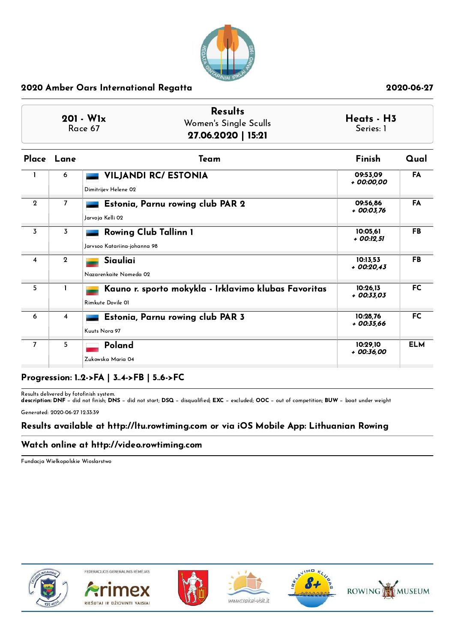

| 201 - W <sub>1x</sub><br>Race 67 |                | <b>Results</b><br>Women's Single Sculls<br>27.06.2020   15:21             | Heats - H3<br>Series: 1 |            |
|----------------------------------|----------------|---------------------------------------------------------------------------|-------------------------|------------|
| Place Lane                       |                | Team                                                                      | Finish                  | Qual       |
|                                  | 6              | <b>VILJANDI RC/ ESTONIA</b><br>Dimitrijev Helene 02                       | 09:53.09<br>+ 00:00.00  | <b>FA</b>  |
| $\mathbf{2}$                     | $\overline{7}$ | Estonia, Parnu rowing club PAR 2<br>Jarvoja Kelli 02                      | 09:56.86<br>+ 00:03,76  | FA         |
| 3                                | 3              | <b>Rowing Club Tallinn 1</b><br>Jarvsoo Katariina-johanna 98              | 10:05,61<br>+ 00:12,51  | FB         |
| $\overline{\bf{4}}$              | $\mathbf{2}$   | Siauliai<br>Nazarenkaite Nomeda 02                                        | 10:13,53<br>$+00:20.43$ | <b>FB</b>  |
| 5                                | ı              | Kauno r. sporto mokykla - Irklavimo klubas Favoritas<br>Rimkute Dovile 01 | 10:26.13<br>+ 00:33,03  | <b>FC</b>  |
| 6                                | 4              | Estonia, Parnu rowing club PAR 3<br>Kuuts Nora 97                         | 10:28.76<br>$+00:35,66$ | <b>FC</b>  |
| $\overline{7}$                   | 5              | Poland<br>Zukowska Maria 04                                               | 10:29,10<br>$+00:36,00$ | <b>ELM</b> |

## Progression: 1..2->FA | 3..4->FB | 5..6->FC

Results delivered by fotofinish system.<br>**description: DNF** − did not finish; **DNS** − did not start; **DSQ** − disqualified; **EXC** − excluded; **OOC** − out of competition; **BUW** − boat under weight

Generated: 2020-06-27 12:33:39

## Results available at http://ltu.rowtiming.com or via iOS Mobile App: Lithuanian Rowing

## Watch online at http://video.rowtiming.com

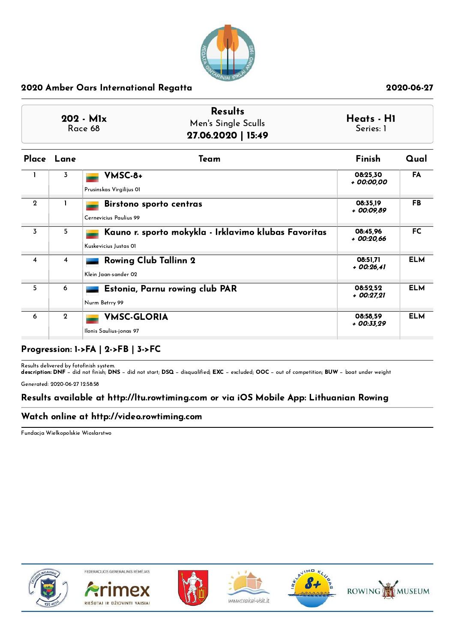

| $202 - Mlx$<br>Race 68 | <b>Results</b><br>Men's Single Sculls<br>27.06.2020   15:49 | Heats - H1<br>Series: 1 |
|------------------------|-------------------------------------------------------------|-------------------------|
|------------------------|-------------------------------------------------------------|-------------------------|

|                     | Place Lane     | Team                                                                          | Finish                  | Qual       |
|---------------------|----------------|-------------------------------------------------------------------------------|-------------------------|------------|
|                     | 3              | VMSC-8+<br>Prusinskas Virgilijus OI                                           | 08:25,30<br>+ 00:00,00  | FA         |
| $\overline{2}$      |                | <b>Birstono sporto centras</b><br>Cernevicius Paulius 99                      | 08:35.19<br>+ 00:09.89  | FB.        |
| 3                   | 5              | Kauno r. sporto mokykla - Irklavimo klubas Favoritas<br>Kuskevicius Justas OI | 08:45.96<br>+ 00:20,66  | <b>FC</b>  |
| $\overline{\bf{4}}$ | $\overline{4}$ | <b>Rowing Club Tallinn 2</b><br>Klein Jaan-sander 02                          | 08:51,71<br>$+00:26.41$ | <b>ELM</b> |
| 5                   | 6              | Estonia, Parnu rowing club PAR<br>Nurm Betrry 99                              | 08:52.52<br>$+00:27.21$ | <b>ELM</b> |
| 6                   | $\mathbf{2}$   | <b>VMSC-GLORIA</b><br>Ilonis Saulius-jonas 97                                 | 08:58,59<br>+ 00:33,29  | <b>ELM</b> |

## Progression: 1->FA | 2->FB | 3->FC

Results delivered by fotofinish system.<br>**description: DNF** − did not finish; **DNS** − did not start; **DSQ** − disqualified; **EXC** − excluded; **OOC** − out of competition; **BUW** − boat under weight Generated: 2020-06-27 12:58:58

## Results available at http://ltu.rowtiming.com or via iOS Mobile App: Lithuanian Rowing

## Watch online at http://video.rowtiming.com

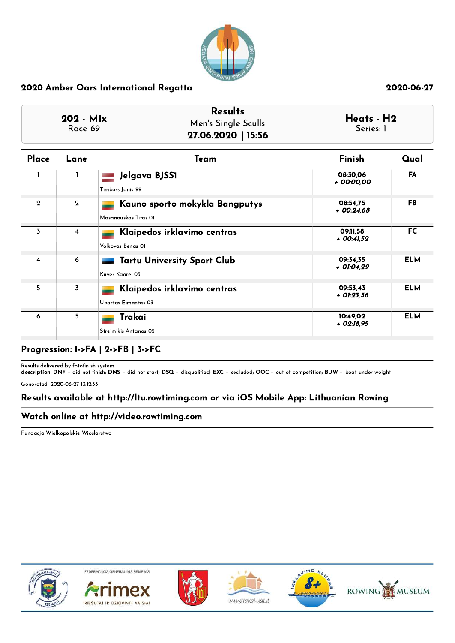

| $202 - M1x$<br>Race 69 |      | <b>Results</b><br>Men's Single Sculls<br>27.06.2020   15:56 | Series: 1 | Heats - H2 |  |
|------------------------|------|-------------------------------------------------------------|-----------|------------|--|
| Place                  | Lane | Team                                                        | Finish    | Qual       |  |

|              | 1           | Jelgava BJSS1<br>Timbors Janis 99                      | 08:30,06<br>+ 00:00,00   | <b>FA</b>  |
|--------------|-------------|--------------------------------------------------------|--------------------------|------------|
| $\mathbf{2}$ | $\mathbf 2$ | Kauno sporto mokykla Bangputys<br>Masanauskas Titas OI | 08:54,75<br>$+00:24,68$  | <b>FB</b>  |
| 3            | 4           | Klaipedos irklavimo centras<br>Volkovas Benas OI       | 09:11.58<br>$+$ 00:41.52 | FC.        |
| 4            | 6           | <b>Tartu University Sport Club</b><br>Kiiver Kaarel 03 | 09:34.35<br>+ 01:04.29   | <b>ELM</b> |
| 5            | 3           | Klaipedos irklavimo centras<br>Ubartas Eimantas 03     | 09:53,43<br>$+$ 01:23,36 | <b>ELM</b> |
| 6            | 5           | Trakai<br>Streimikis Antanas 05                        | 10:49.02<br>$+$ 02:18,95 | <b>ELM</b> |

## Progression: 1->FA | 2->FB | 3->FC

Results delivered by fotofinish system.<br>**description: DNF** − did not finish; **DNS** − did not start; **DSQ** − disqualified; **EXC** − excluded; **OOC** − out of competition; **BUW** − boat under weight

Generated: 2020-06-27 13:12:33

## Results available at http://ltu.rowtiming.com or via iOS Mobile App: Lithuanian Rowing

## Watch online at http://video.rowtiming.com

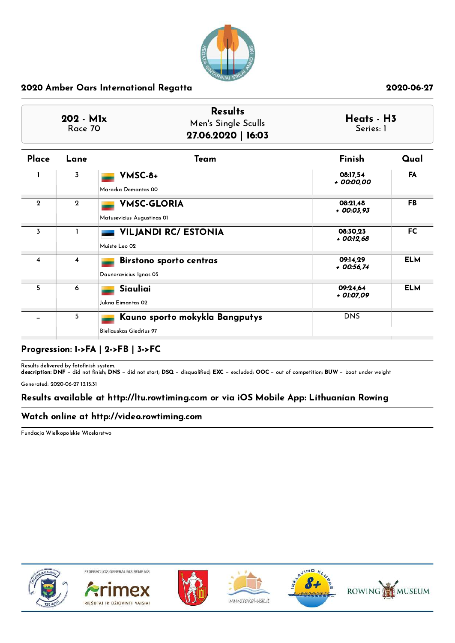

| $202 - M1x$<br>Race 70 | <b>Results</b><br>Men's Single Sculls<br>27.06.2020   16:03 | Heats - H3<br>Series: 1 |
|------------------------|-------------------------------------------------------------|-------------------------|
|------------------------|-------------------------------------------------------------|-------------------------|

| Place        | Lane           | Team                           | Finish                 | Qual       |
|--------------|----------------|--------------------------------|------------------------|------------|
|              | 3              | VMSC-8+                        | 08:17,54<br>+ 00:00,00 | FA         |
|              |                | Marocka Domantas 00            |                        |            |
| $\mathbf{2}$ | $\mathbf{2}$   | <b>VMSC-GLORIA</b>             | 08:21,48<br>+ 00:03,93 | <b>FB</b>  |
|              |                | Matusevicius Augustinas OI     |                        |            |
| 3            |                | <b>VILJANDI RC/ ESTONIA</b>    | 08:30.23<br>+ 00:12,68 | <b>FC</b>  |
|              |                | Muiste Leo 02                  |                        |            |
| 4            | $\overline{4}$ | <b>Birstono sporto centras</b> | 09:14,29<br>+ 00:56,74 | <b>ELM</b> |
|              |                | Daunoravicius Ignas 05         |                        |            |
| 5            | 6              | Siauliai                       | 09:24,64<br>+ 01:07,09 | <b>ELM</b> |
|              |                | Jukna Eimantas 02              |                        |            |
|              | 5              | Kauno sporto mokykla Bangputys | <b>DNS</b>             |            |
|              |                | Bieliauskas Giedrius 97        |                        |            |

## Progression: 1->FA | 2->FB | 3->FC

Results delivered by fotofinish system.<br>**description: DNF** − did not finish; **DNS** − did not start; **DSQ** − disqualified; **EXC** − excluded; **OOC** − out of competition; **BUW** − boat under weight

Generated: 2020-06-27 13:15:31

## Results available at http://ltu.rowtiming.com or via iOS Mobile App: Lithuanian Rowing

### Watch online at http://video.rowtiming.com

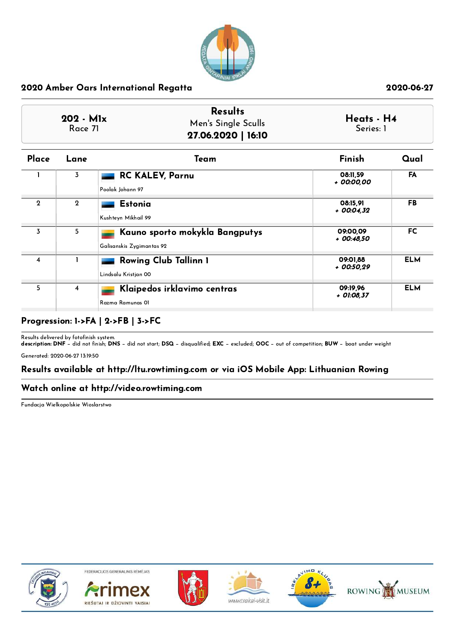

| Place       | Lane           | Team                                                        | Finish                  | Qual       |
|-------------|----------------|-------------------------------------------------------------|-------------------------|------------|
|             | 3              | <b>RC KALEV, Parnu</b><br>Poolak Johann 97                  | 08:11,59<br>+ 00:00,00  | FA         |
| $\mathbf 2$ | $\overline{2}$ | <b>Estonia</b><br>Kushteyn Mikhail 99                       | 08:15.91<br>$+00:04.32$ | <b>FB</b>  |
| 3           | 5              | Kauno sporto mokykla Bangputys<br>Galisanskis Zygimantas 92 | 09:00,09<br>$+00:48,50$ | <b>FC</b>  |
| 4           |                | <b>Rowing Club Tallinn 1</b><br>Lindsalu Kristjan 00        | 09:01.88<br>+ 00:50,29  | <b>ELM</b> |
| 5           | $\overline{4}$ | Klaipedos irklavimo centras<br>Razma Ramunas OI             | 09:19,96<br>+ 01:08,37  | <b>ELM</b> |

# Progression: 1->FA | 2->FB | 3->FC

Results delivered by fotofinish system.<br>**description: DNF** − did not finish; **DNS** − did not start; **DSQ** − disqualified; **EXC** − excluded; **OOC** − out of competition; **BUW** − boat under weight

Generated: 2020-06-27 13:19:50

## Results available at http://ltu.rowtiming.com or via iOS Mobile App: Lithuanian Rowing

## Watch online at http://video.rowtiming.com

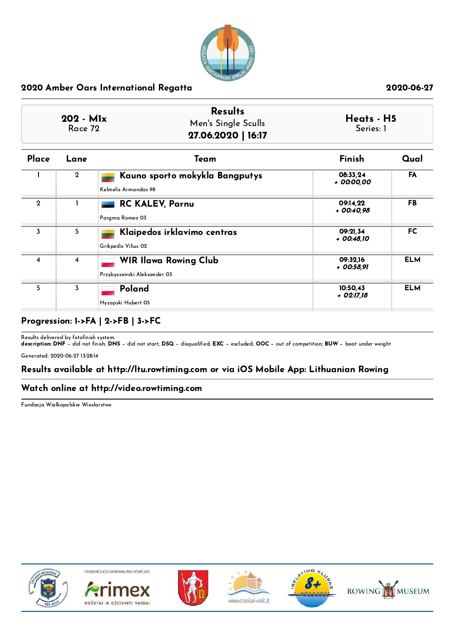

| <b>Results</b>      | Heats - H5         |
|---------------------|--------------------|
| Men's Single Sculls | Series: 1          |
|                     | 27.06.2020   16:17 |

| Place          | Lane           | Team                                                        | Finish                  | Qual       |
|----------------|----------------|-------------------------------------------------------------|-------------------------|------------|
|                | $\mathbf{2}$   | Kauno sporto mokykla Bangputys<br>Kelmelis Armandas 98      | 08:33,24<br>+ 00:00.00  | <b>FA</b>  |
| $\mathbf{2}$   |                | <b>RC KALEV, Parnu</b><br>Parama Romeo 03                   | 09:14.22<br>$+00:40.98$ | FB.        |
| $\overline{3}$ | 5              | Klaipedos irklavimo centras<br>Grikpedis Vilius 02          | 09:21.34<br>+ 00:48,10  | <b>FC</b>  |
| 4              | $\overline{4}$ | <b>WIR Ilawa Rowing Club</b><br>Przybyszewski Aleksander 03 | 09:32.16<br>+ 00:58,91  | <b>ELM</b> |
| 5              | 3              | Poland<br>Hyzopski Hubert 05                                | 10:50,43<br>+ 02:17,18  | <b>ELM</b> |

# Progression: 1->FA | 2->FB | 3->FC

Results delivered by fotofinish system.<br>**description: DNF** − did not finish; **DNS** − did not start; **DSQ** − disqualified; **EXC** − excluded; **OOC** − out of competition; **BUW** − boat under weight

Generated: 2020-06-27 13:28:14

## Results available at http://ltu.rowtiming.com or via iOS Mobile App: Lithuanian Rowing

## Watch online at http://video.rowtiming.com

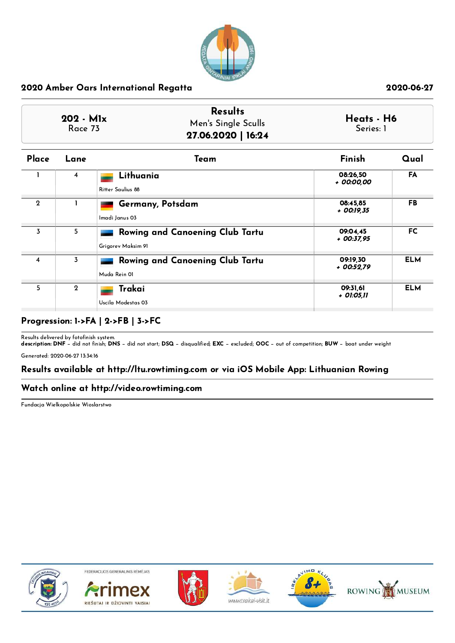

| $202 - M1x$ | <b>Results</b>      | Heats - H6 |
|-------------|---------------------|------------|
| Race 73     | Men's Single Sculls | Series: 1  |
|             | 27.06.2020   16:24  |            |

| Place        | Lane           | Team                                                  | Finish                   | Qual       |
|--------------|----------------|-------------------------------------------------------|--------------------------|------------|
|              | 4              | Lithuania<br>Ritter Saulius 88                        | 08:26,50<br>+ 00:00,00   | FA         |
| $\mathbf{Q}$ |                | Germany, Potsdam<br>Imadi Janus 03                    | 08:45,85<br>+ 00:19,35   | FB.        |
| 3            | 5              | Rowing and Canoening Club Tartu<br>Grigorev Maksim 91 | 09:04.45<br>$+$ 00:37,95 | FC.        |
| 4            | 3              | Rowing and Canoening Club Tartu<br>Muda Rein 01       | 09:19,30<br>$+00:52.79$  | <b>ELM</b> |
| 5            | $\overline{2}$ | Trakai<br>Uscila Modestas 03                          | 09:31,61<br>+ 01:05,11   | <b>ELM</b> |

# Progression: 1->FA | 2->FB | 3->FC

Results delivered by fotofinish system.<br>**description: DNF** − did not finish; **DNS** − did not start; **DSQ** − disqualified; **EXC** − excluded; **OOC** − out of competition; **BUW** − boat under weight

Generated: 2020-06-27 13:34:16

## Results available at http://ltu.rowtiming.com or via iOS Mobile App: Lithuanian Rowing

## Watch online at http://video.rowtiming.com

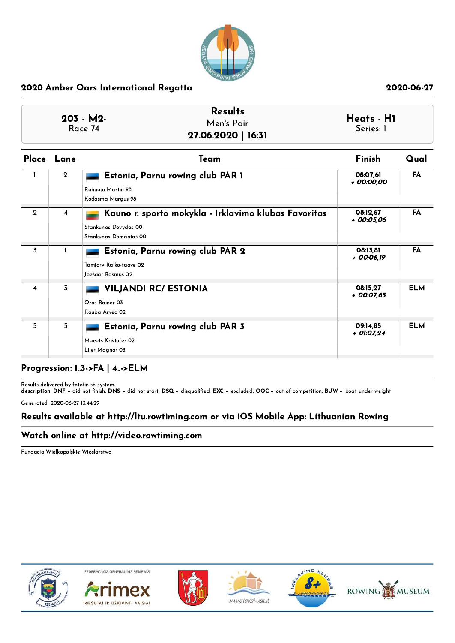

| $203 - M2$<br>Race 74 | <b>Results</b><br>Men's Pair<br>27.06.2020   16:31 | Heats - H1<br>Series: 1 |
|-----------------------|----------------------------------------------------|-------------------------|
|                       |                                                    |                         |

|                | Place Lane     | Team                                                                                                  | Finish                   | Qual       |
|----------------|----------------|-------------------------------------------------------------------------------------------------------|--------------------------|------------|
|                | $\overline{2}$ | Estonia, Parnu rowing club PAR 1<br>Rahuoja Martin 98<br>Kodasma Margus 98                            | 08:07,61<br>+ 00:00,00   | <b>FA</b>  |
| $\mathbf{Q}$   | 4              | Kauno r. sporto mokykla - Irklavimo klubas Favoritas<br>Stankunas Dovydas 00<br>Stankunas Domantas 00 | 08:12.67<br>+ 00:05,06   | <b>FA</b>  |
| 3              |                | Estonia, Parnu rowing club PAR 2<br>Tamjary Raiko-taave 02<br>Joesaar Rasmus 02                       | 08:13,81<br>+ 00:06,19   | FA         |
| $\overline{4}$ | 3              | <b>VILJANDI RC/ ESTONIA</b><br>Oras Rainer 03<br>Rauba Arved 02                                       | 08:15,27<br>$+$ 00:07,65 | <b>ELM</b> |
| 5              | 5              | Estonia, Parnu rowing club PAR 3<br>Maeots Kristofer 02<br>Liier Magnar 03                            | 09:14,85<br>$+$ 01:07,24 | <b>ELM</b> |

## Progression: 1..3->FA | 4..->ELM

Results delivered by fotofinish system.<br>**description: DNF** − did not finish; **DNS** − did not start; **DSQ** − disqualified; **EXC** − excluded; **OOC** − out of competition; **BUW** − boat under weight

Generated: 2020-06-27 13:44:29

### Results available at http://ltu.rowtiming.com or via iOS Mobile App: Lithuanian Rowing

## Watch online at http://video.rowtiming.com

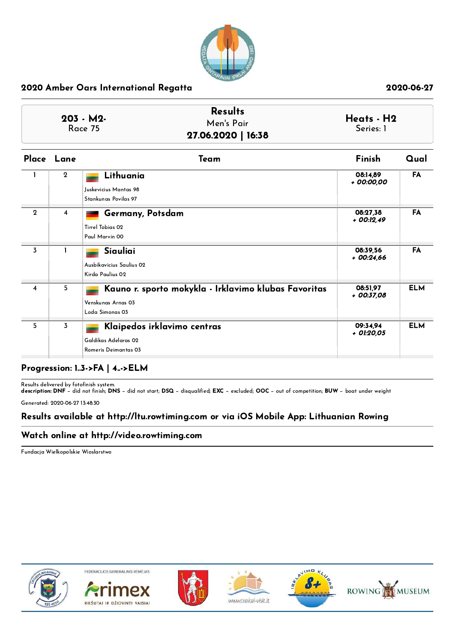

|                       | <b>Results</b>     |                         |
|-----------------------|--------------------|-------------------------|
| $203 - M2$<br>Race 75 | Men's Pair         | Heats - H2<br>Series: 1 |
|                       | 27.06.2020   16:38 |                         |

| Place          | Lane        | Team                                                                                          | Finish                   | Qual       |
|----------------|-------------|-----------------------------------------------------------------------------------------------|--------------------------|------------|
|                | $\mathbf 2$ | Lithuania<br>Juskevicius Mantas 98<br>Stankunas Povilas 97                                    | 08:14,89<br>+ 00:00,00   | FA         |
| $\mathbf{Q}$   | 4           | Germany, Potsdam<br>Tirrel Tobias 02<br>Paul Marvin 00                                        | 08:27,38<br>$+$ 00:12,49 | <b>FA</b>  |
| 3              |             | Siauliai<br>Ausbikavicius Saulius 02<br>Kirda Paulius 02                                      | 08:39,56<br>$+00:24.66$  | FA         |
| $\overline{4}$ | 5           | Kauno r. sporto mokykla - Irklavimo klubas Favoritas<br>Venskunas Arnas 03<br>Loda Simonas 03 | 08:51,97<br>+ 00:37,08   | <b>ELM</b> |
| 5              | 3           | Klaipedos irklavimo centras<br>Galdikas Adelaras 02<br>Romeris Deimantas 03                   | 09:34.94<br>+ 01:20,05   | <b>ELM</b> |

## Progression: 1..3->FA | 4..->ELM

Results delivered by fotofinish system.<br>**description: DNF** − did not finish; **DNS** − did not start; **DSQ** − disqualified; **EXC** − excluded; **OOC** − out of competition; **BUW** − boat under weight

Generated: 2020-06-27 13:48:30

### Results available at http://ltu.rowtiming.com or via iOS Mobile App: Lithuanian Rowing

## Watch online at http://video.rowtiming.com

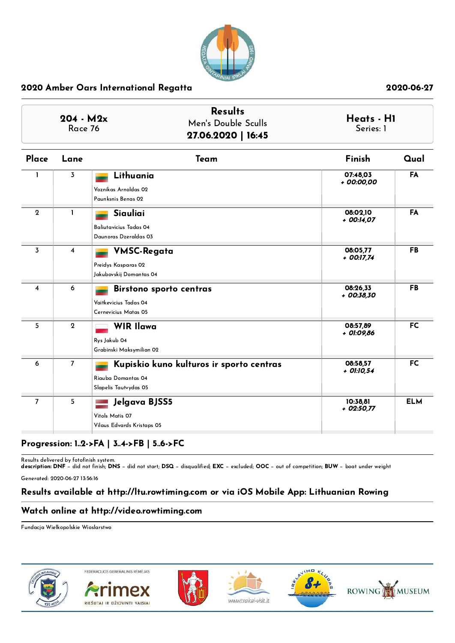

| $204 - M2x$<br>Race 76 |                | <b>Results</b><br>Men's Double Sculls<br>27.06.2020   16:45                             | Heats - HI<br>Series: 1  |            |
|------------------------|----------------|-----------------------------------------------------------------------------------------|--------------------------|------------|
| Place                  | Lane           | Team                                                                                    | Finish                   | Qual       |
| 1                      | 3              | Lithuania<br>Voznikas Arnoldas 02<br>Paunksnis Benas O2                                 | 07:48.03<br>+ 00:00,00   | FA         |
| $\mathbf{2}$           | $\mathbf{I}$   | Siauliai<br>Baliutavicius Tadas 04<br>Daunoras Dzeraldas 03                             | 08:02.10<br>+ 00:14,07   | FA         |
| 3                      | 4              | <b>VMSC-Regata</b><br>Preidys Kasparas 02<br>Jakubovskij Domantas 04                    | 08:05,77<br>$+$ 00:17,74 | <b>FB</b>  |
| 4                      | 6              | <b>Birstono sporto centras</b><br>Vaitkevicius Tadas 04<br>Cernevicius Matas 05         | 08:26,33<br>+ 00:38,30   | <b>FB</b>  |
| 5                      | $\overline{2}$ | <b>WIR Ilawa</b><br>Rys Jakub 04<br>Grabinski Maksymilian 02                            | 08:57.89<br>+ 01:09,86   | <b>FC</b>  |
| 6                      | $\overline{7}$ | Kupiskio kuno kulturos ir sporto centras<br>Riauba Domantas 04<br>Slapelis Tautvydas 05 | 08:58,57<br>+ 01:10,54   | <b>FC</b>  |
| $\overline{7}$         | 5              | Jelgava BJSS5<br>Vitols Matis 07<br>Vilaus Edvards Kristaps 05                          | 10:38,81<br>$+02:50,77$  | <b>ELM</b> |

## Progression: 1..2->FA | 3..4->FB | 5..6->FC

Results delivered by fotofinish system.<br>**description: DNF** − did not finish; **DNS** − did not start; **DSQ** − disqualified; **EXC** − excluded; **OOC** − out of competition; **BUW** − boat under weight

Generated: 2020-06-27 13:56:16

## Results available at http://ltu.rowtiming.com or via iOS Mobile App: Lithuanian Rowing

## Watch online at http://video.rowtiming.com

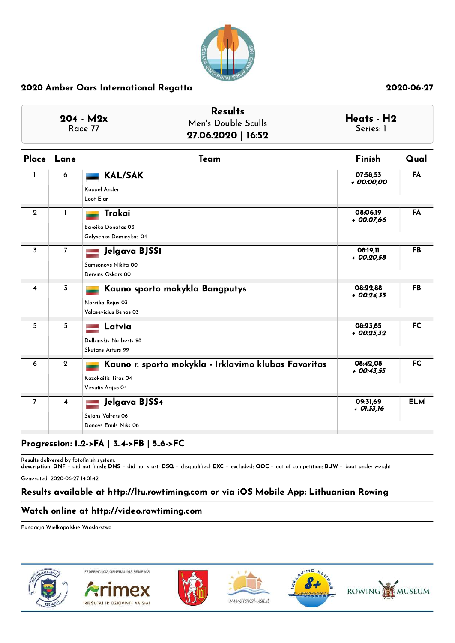

|                |                | <b>Results</b><br>$204 - M2x$<br>Men's Double Sculls<br>Race 77<br>27.06.2020   16:52             | Heats - H2<br>Series: 1  |            |
|----------------|----------------|---------------------------------------------------------------------------------------------------|--------------------------|------------|
|                | Place Lane     | Team                                                                                              | Finish                   | Qual       |
|                | 6              | <b>KAL/SAK</b><br>Koppel Ander<br>Loot Elar                                                       | 07:58.53<br>+ 00:00,00   | FA         |
| $\mathbf{2}$   | 1              | Trakai<br>Bareika Donatas 03<br>Golysenko Dominykas 04                                            | 08:06,19<br>$+00:07,66$  | FA         |
| 3              | $\overline{7}$ | Jelgava BJSSI<br>Samsonovs Nikita 00<br>Dervins Oskars 00                                         | 08:19.11<br>$+00:20.58$  | <b>FB</b>  |
| 4              | $\overline{3}$ | Kauno sporto mokykla Bangputys<br>Noreika Rojus 03<br>Valasevicius Benas 03                       | 08:22,88<br>$+00:24.35$  | <b>FB</b>  |
| 5              | 5              | Latvia<br>Dulbinskis Norberts 98<br>Skutans Arturs 99                                             | 08:23,85<br>$+00:25.32$  | <b>FC</b>  |
| 6              | $\mathbf{2}$   | Kauno r. sporto mokykla - Irklavimo klubas Favoritas<br>Kazokaitis Titas 04<br>Virsutis Arijus 04 | 08:42,08<br>$+$ 00:43,55 | <b>FC</b>  |
| $\overline{7}$ | 4              | Jelgava BJSS4<br>Sejans Valters 06<br>Donovs Emils Niks 06                                        | 09:31,69<br>$+$ 01:33,16 | <b>ELM</b> |

## Progression: 1..2->FA | 3..4->FB | 5..6->FC

Results delivered by fotofinish system.<br>**description: DNF** − did not finish; **DNS** − did not start; **DSQ** − disqualified; **EXC** − excluded; **OOC** − out of competition; **BUW** − boat under weight

Generated: 2020-06-27 14:01:42

## Results available at http://ltu.rowtiming.com or via iOS Mobile App: Lithuanian Rowing

## Watch online at http://video.rowtiming.com

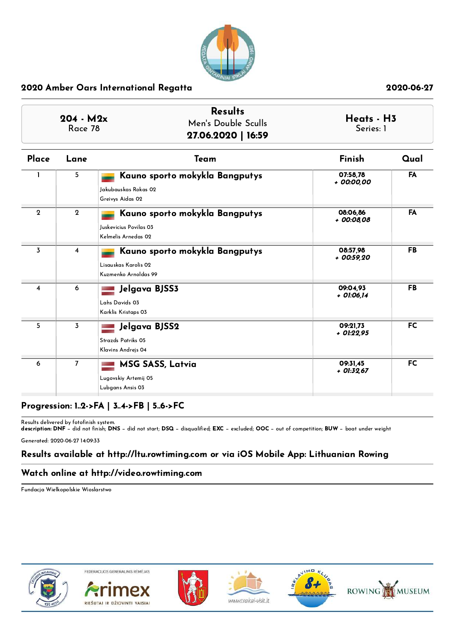

| $204 - M2x$<br>Race 78 |                | <b>Results</b><br>Men's Double Sculls<br>27.06.2020   16:59                     | Heats - H3<br>Series: 1 |           |
|------------------------|----------------|---------------------------------------------------------------------------------|-------------------------|-----------|
| Place                  | Lane           | Team                                                                            | Finish                  | Qual      |
|                        | 5              | Kauno sporto mokykla Bangputys<br>Jakubauskas Rokas 02<br>Greivys Aidas 02      | 07:58,78<br>+ 00:00,00  | <b>FA</b> |
| $\mathbf{2}$           | $\mathbf{2}$   | Kauno sporto mokykla Bangputys<br>Juskevicius Povilas 03<br>Kelmelis Arnedas 02 | 08:06.86<br>+ 00:08,08  | <b>FA</b> |
| $\overline{3}$         | $\overline{4}$ | Kauno sporto mokykla Bangputys<br>Lisauskas Karolis 02<br>Kuzmenko Arnoldas 99  | 08:57,98<br>$+00:59.20$ | <b>FB</b> |
| 4                      | 6              | Jelgava BJSS3<br>Lahs Davids 03<br>Karklis Kristaps 03                          | 09:04.93<br>+ 01:06,14  | <b>FB</b> |
| 5                      | $\overline{3}$ | Jelgava BJSS2<br>Strazds Patriks 05<br>Klavins Andrejs 04                       | 09:21.73<br>+ 01:22,95  | <b>FC</b> |
| 6                      | $\overline{7}$ | <b>MSG SASS, Latvia</b><br>Lugovskiy Artemij 05<br>Lubgans Ansis 03             | 09:31.45<br>+ 01:32,67  | <b>FC</b> |

# Progression: 1..2->FA | 3..4->FB | 5..6->FC

Results delivered by fotofinish system.<br>**description: DNF** − did not finish; **DNS** − did not start; **DSQ** − disqualified; **EXC** − excluded; **OOC** − out of competition; **BUW** − boat under weight

Generated: 2020-06-27 14:09:33

# Results available at http://ltu.rowtiming.com or via iOS Mobile App: Lithuanian Rowing

## Watch online at http://video.rowtiming.com

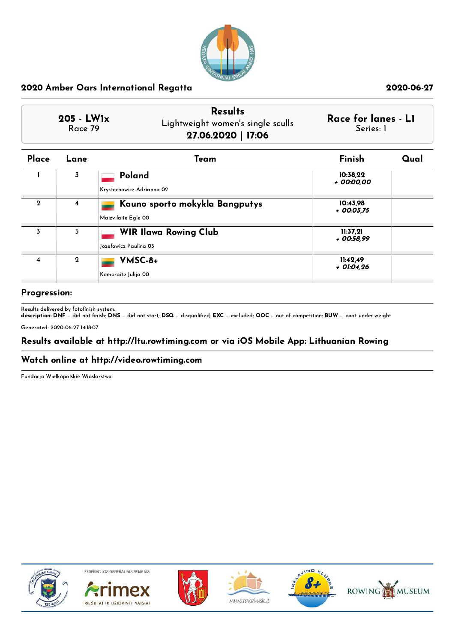

|              | <b>Results</b>                    |                     |
|--------------|-----------------------------------|---------------------|
| $205 - LW1x$ | Lightweight women's single sculls | Race for lanes - L1 |
| Race 79      | 27.06.2020   17:06                | Series: 1           |

| Place       | Lane           | Team                                                  | Finish                   | Qual |
|-------------|----------------|-------------------------------------------------------|--------------------------|------|
|             | 3              | Poland<br>Krystochowicz Adrianna 02                   | 10:38,22<br>+ 00:00.00   |      |
| $\mathbf 2$ | 4              | Kauno sporto mokykla Bangputys<br>Maizvilaite Egle 00 | 10:43.98<br>$+$ 00:05,75 |      |
| 3           | 5              | <b>WIR Ilawa Rowing Club</b><br>Jozefowicz Paulina 03 | 11:37.21<br>+ 00:58,99   |      |
| 4           | $\overline{2}$ | VMSC-8+<br>Komaraite Julija 00                        | 11:42,49<br>$+$ 01:04,26 |      |

### Progression:

Results delivered by fotofinish system.<br>**description: DNF** − did not finish; **DNS** − did not start; **DSQ** − disqualified; **EXC** − excluded; **OOC** − out of competition; **BUW** − boat under weight

Generated: 2020-06-27 14:18:07

## Results available at http://ltu.rowtiming.com or via iOS Mobile App: Lithuanian Rowing

### Watch online at http://video.rowtiming.com

Fundacja Wielkopolskie Wioslarstwo



FEDERACIJOS GENERALINIS RĖMĖJAS









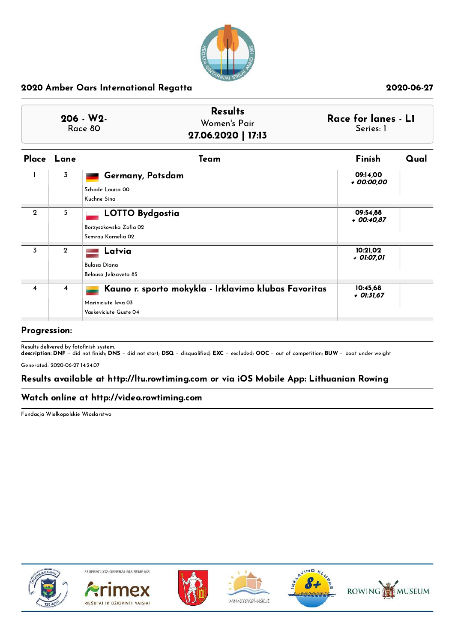

| Women's Pair | Race for lanes - L1<br>Series: 1 |
|--------------|----------------------------------|
|              | 27.06.2020   17:13               |

|                | Place Lane   | Team                                                                                                 | Finish                 | Qual |
|----------------|--------------|------------------------------------------------------------------------------------------------------|------------------------|------|
|                | 3            | Germany, Potsdam<br>Schade Louisa 00<br>Kuchne Sina                                                  | 09:14,00<br>+ 00:00,00 |      |
| $\Omega$       | 5            | <b>LOTTO Bydgostia</b><br>Borzyszkowska Zofia 02<br>Semrau Kornelia 02                               | 09:54.88<br>+ 00:40,87 |      |
| 3              | $\mathbf{2}$ | Latvia<br>Bulasa Diana<br>Belousa Jelizaveta 85                                                      | 10:21,02<br>+ 01:07,01 |      |
| $\overline{4}$ | 4            | Kauno r. sporto mokykla - Irklavimo klubas Favoritas<br>Mariniciute Ieva 03<br>Vaskeviciute Guste 04 | 10:45,68<br>+ 01:31,67 |      |

## Progression:

Results delivered by fotofinish system.<br>**description: DNF** − did not finish; **DNS** − did not start; **DSQ** − disqualified; **EXC** − excluded; **OOC** − out of competition; **BUW** − boat under weight

Generated: 2020-06-27 14:24:07

## Results available at http://ltu.rowtiming.com or via iOS Mobile App: Lithuanian Rowing

### Watch online at http://video.rowtiming.com

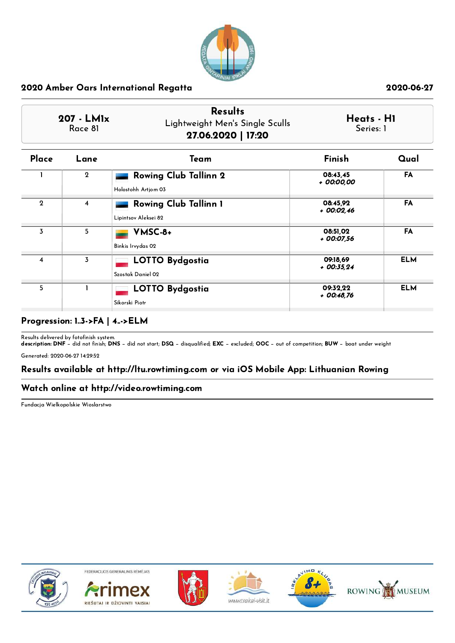

| 207 - LMIx<br>Race 81 |              | <b>Results</b><br>Lightweight Men's Single Sculls<br>27.06.2020   17:20 |                         | Heats - H1<br>Series: 1 |
|-----------------------|--------------|-------------------------------------------------------------------------|-------------------------|-------------------------|
| Place                 | Lane         | Team                                                                    | Finish                  | Qual                    |
|                       | $\mathbf{2}$ | <b>Rowing Club Tallinn 2</b><br>Holostohh Artiom 03                     | 08:43.45<br>+ 00:00.00  | FA                      |
| $\mathbf{2}$          | 4            | <b>Rowing Club Tallinn 1</b><br>Lipintsov Aleksei 82                    | 08:45.92<br>$+00:02.46$ | <b>FA</b>               |
| 3                     | 5            | VMSC-8+                                                                 | 08:51.02                | FA                      |

|   | J | 10-JCMY<br>Binkis Irvydas 02                | <b>PO.JI.VZ</b><br>+ 00:07,56 | $\blacksquare$ |
|---|---|---------------------------------------------|-------------------------------|----------------|
| 4 |   | <b>LOTTO Bydgostia</b><br>Szostak Daniel 02 | 09:18,69<br>$+$ 00:35,24      | <b>ELM</b>     |
|   |   | <b>LOTTO Bydgostia</b><br>Sikorski Piotr    | 09:32,22<br>$+$ 00:48.76      | <b>ELM</b>     |

# Progression: 1..3->FA | 4..->ELM

Results delivered by fotofinish system.<br>**description: DNF** − did not finish; **DNS** − did not start; **DSQ** − disqualified; **EXC** − excluded; **OOC** − out of competition; **BUW** − boat under weight

Generated: 2020-06-27 14:29:52

## Results available at http://ltu.rowtiming.com or via iOS Mobile App: Lithuanian Rowing

## Watch online at http://video.rowtiming.com

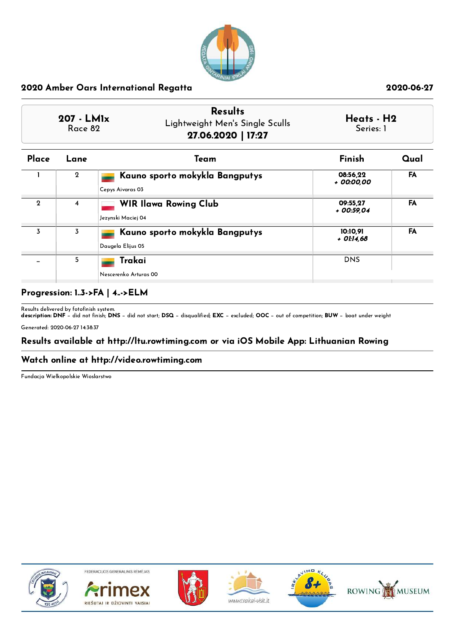

| 207 - LMIx<br>Race 82 | <b>Results</b><br>Lightweight Men's Single Sculls<br>27.06.2020   17:27 | Heats - H2<br>Series: 1 |
|-----------------------|-------------------------------------------------------------------------|-------------------------|
|                       |                                                                         |                         |

| Place       | Lane           | Team                                                | Finish                 | Qual      |
|-------------|----------------|-----------------------------------------------------|------------------------|-----------|
|             | $\overline{2}$ | Kauno sporto mokykla Bangputys<br>Cepys Aivaras 03  | 08:56,22<br>+ 00:00.00 | FA        |
| $\mathbf 2$ | $\overline{4}$ | <b>WIR Ilawa Rowing Club</b><br>Jezynski Maciej 04  | 09:55.27<br>+ 00:59.04 | <b>FA</b> |
| 3           | 3              | Kauno sporto mokykla Bangputys<br>Daugela Elijus 05 | 10:10.91<br>+ 01:14.68 | <b>FA</b> |
|             | 5              | Trakai<br>Nescerenko Arturas 00                     | <b>DNS</b>             |           |

## Progression: 1..3->FA | 4..->ELM

Results delivered by fotofinish system.<br>**description: DNF** − did not finish; **DNS** − did not start; **DSQ** − disqualified; **EXC** − excluded; **OOC** − out of competition; **BUW** − boat under weight Generated: 2020-06-27 14:38:37

Results available at http://ltu.rowtiming.com or via iOS Mobile App: Lithuanian Rowing

## Watch online at http://video.rowtiming.com

Fundacja Wielkopolskie Wioslarstwo



FEDERACIJOS GENERALINIS RĖMĖJAS









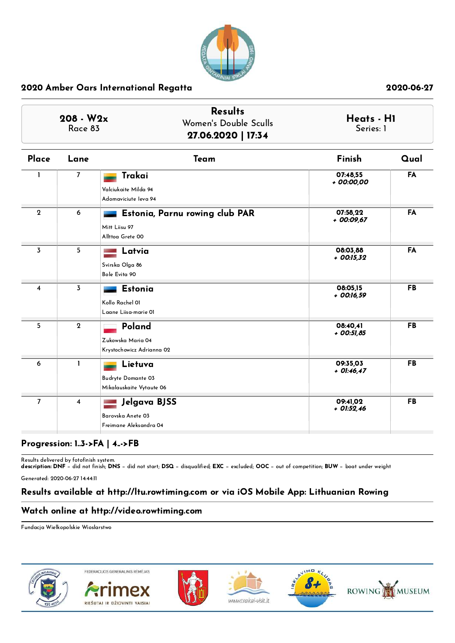

| $208 - W2x$<br>Race 83 |                | <b>Results</b><br>Women's Double Sculls<br>27.06.2020   17:34       | Heats - HI<br>Series: 1  |           |
|------------------------|----------------|---------------------------------------------------------------------|--------------------------|-----------|
| Place                  | Lane           | Team                                                                | Finish                   | Qual      |
| ı                      | $\overline{7}$ | Trakai<br>Valciukaite Milda 94<br>Adomaviciute leva 94              | 07:48,55<br>+ 00:00,00   | FA        |
| $\mathbf{2}$           | 6              | Estonia, Parnu rowing club PAR<br>Mitt Liisu 97<br>Allttoa Grete 00 | 07:58,22<br>$+00:09,67$  | FA        |
| 3                      | 5 <sub>1</sub> | Latvia<br>Svirska Olga 86<br>Bole Evita 90                          | 08:03,88<br>$+$ 00:15,32 | FA        |
| 4                      | $\overline{3}$ | <b>Estonia</b><br>Kollo Rachel 01<br>Laane Liisa-marie Ol           | 08:05,15<br>$+$ 00:16,59 | <b>FB</b> |
| 5                      | $\overline{2}$ | Poland<br>Zukowska Maria 04<br>Krystochowicz Adrianna 02            | 08:40.41<br>$+$ 00:51,85 | <b>FB</b> |
| 6                      | $\mathbf{1}$   | Lietuva<br>Budryte Domante 03<br>Mikalauskaite Vytaute 06           | 09:35,03<br>$+$ 01:46,47 | <b>FB</b> |
| $\overline{7}$         | $\overline{4}$ | Jelgava BJSS<br>Barovska Anete 03<br>Freimane Aleksandra 04         | 09:41,02<br>$+$ 01:52,46 | <b>FB</b> |

## Progression: 1..3->FA | 4..->FB

Results delivered by fotofinish system.<br>**description: DNF** − did not finish; **DNS** − did not start; **DSQ** − disqualified; **EXC** − excluded; **OOC** − out of competition; **BUW** − boat under weight

Generated: 2020-06-27 14:44:11

## Results available at http://ltu.rowtiming.com or via iOS Mobile App: Lithuanian Rowing

## Watch online at http://video.rowtiming.com

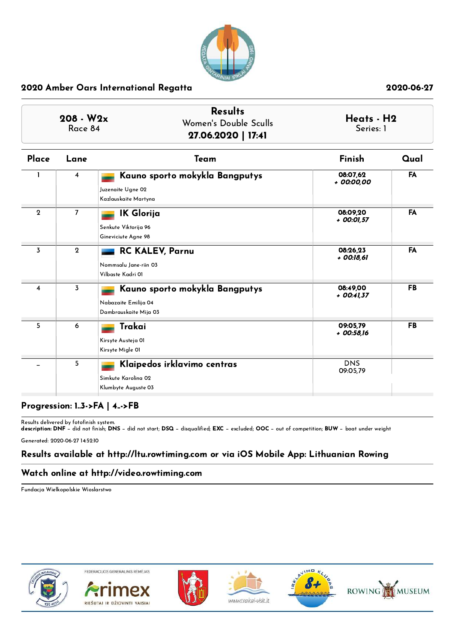

| $208 - W2x$<br>Race 84 |                | <b>Results</b><br>Women's Double Sculls<br>27.06.2020   17:41                   |                          | Heats - H2<br>Series: 1 |  |
|------------------------|----------------|---------------------------------------------------------------------------------|--------------------------|-------------------------|--|
| Place                  | Lane           | Team                                                                            | Finish                   | Qual                    |  |
|                        | $\overline{4}$ | Kauno sporto mokykla Bangputys<br>Juzenaite Ugne 02<br>Kazlauskaite Martyna     | 08:07.62<br>+ 00:00,00   | FA                      |  |
| $\mathbf{2}$           | $\overline{7}$ | <b>IK Glorija</b><br>Senkute Viktorija 96<br>Gineviciute Agne 98                | 08:09,20<br>+ 00:01,57   | <b>FA</b>               |  |
| 3                      | $\mathbf{2}$   | <b>RC KALEV, Parnu</b><br>Nommsalu Jane-riin 03<br>Vilbaste Kadri 01            | 08:26,23<br>+ 00:18,61   | FA                      |  |
| 4                      | $\overline{3}$ | Kauno sporto mokykla Bangputys<br>Nabazaite Emilija 04<br>Dambrauskaite Mija 03 | 08:49,00<br>$+$ 00:41,37 | <b>FB</b>               |  |
| 5                      | 6              | Trakai<br>Kirsyte Austeja 01<br>Kirsyte Migle 01                                | 09:05.79<br>+ 00:58,16   | <b>FB</b>               |  |
|                        | 5              | Klaipedos irklavimo centras<br>Simkute Karolina 02<br>Klumbyte Auguste 03       | <b>DNS</b><br>09:05,79   |                         |  |

## Progression: 1..3->FA | 4..->FB

Results delivered by fotofinish system.<br>**description: DNF** − did not finish; **DNS** − did not start; **DSQ** − disqualified; **EXC** − excluded; **OOC** − out of competition; **BUW** − boat under weight

Generated: 2020-06-27 14:52:10

# Results available at http://ltu.rowtiming.com or via iOS Mobile App: Lithuanian Rowing

## Watch online at http://video.rowtiming.com